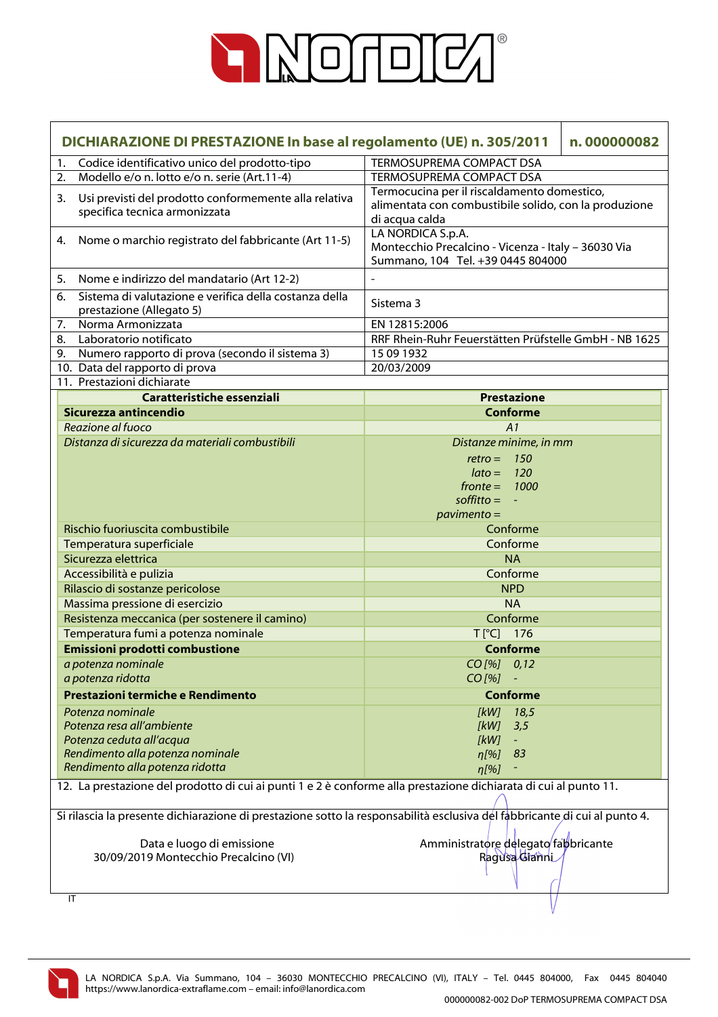

|    | DICHIARAZIONE DI PRESTAZIONE In base al regolamento (UE) n. 305/2011<br>n.000000082                                        |                                                                                                                        |  |
|----|----------------------------------------------------------------------------------------------------------------------------|------------------------------------------------------------------------------------------------------------------------|--|
| 1. | Codice identificativo unico del prodotto-tipo                                                                              | <b>TERMOSUPREMA COMPACT DSA</b>                                                                                        |  |
| 2. | Modello e/o n. lotto e/o n. serie (Art.11-4)                                                                               | TERMOSUPREMA COMPACT DSA                                                                                               |  |
| 3. | Usi previsti del prodotto conformemente alla relativa<br>specifica tecnica armonizzata                                     | Termocucina per il riscaldamento domestico,<br>alimentata con combustibile solido, con la produzione<br>di acqua calda |  |
| 4. | Nome o marchio registrato del fabbricante (Art 11-5)                                                                       | LA NORDICA S.p.A.<br>Montecchio Precalcino - Vicenza - Italy - 36030 Via<br>Summano, 104 Tel. +39 0445 804000          |  |
| 5. | Nome e indirizzo del mandatario (Art 12-2)                                                                                 |                                                                                                                        |  |
| 6. | Sistema di valutazione e verifica della costanza della<br>prestazione (Allegato 5)                                         | Sistema 3                                                                                                              |  |
| 7. | Norma Armonizzata                                                                                                          | EN 12815:2006                                                                                                          |  |
| 8. | Laboratorio notificato                                                                                                     | RRF Rhein-Ruhr Feuerstätten Prüfstelle GmbH - NB 1625                                                                  |  |
| 9. | Numero rapporto di prova (secondo il sistema 3)                                                                            | 15 09 1932                                                                                                             |  |
|    | 10. Data del rapporto di prova                                                                                             | 20/03/2009                                                                                                             |  |
|    | 11. Prestazioni dichiarate                                                                                                 |                                                                                                                        |  |
|    | Caratteristiche essenziali                                                                                                 | <b>Prestazione</b>                                                                                                     |  |
|    | Sicurezza antincendio                                                                                                      | <b>Conforme</b>                                                                                                        |  |
|    | Reazione al fuoco                                                                                                          | A1                                                                                                                     |  |
|    | Distanza di sicurezza da materiali combustibili                                                                            | Distanze minime, in mm                                                                                                 |  |
|    |                                                                                                                            | 150<br>$retro =$                                                                                                       |  |
|    |                                                                                                                            | <b>120</b><br>$lato =$                                                                                                 |  |
|    |                                                                                                                            | $fronte = 1000$                                                                                                        |  |
|    |                                                                                                                            | $\text{soft}$ = $-$                                                                                                    |  |
|    | Rischio fuoriuscita combustibile                                                                                           | $pavimento =$                                                                                                          |  |
|    |                                                                                                                            | Conforme<br>Conforme                                                                                                   |  |
|    | Temperatura superficiale                                                                                                   |                                                                                                                        |  |
|    | Sicurezza elettrica                                                                                                        | <b>NA</b><br>Conforme                                                                                                  |  |
|    | Accessibilità e pulizia<br>Rilascio di sostanze pericolose                                                                 | <b>NPD</b>                                                                                                             |  |
|    | Massima pressione di esercizio                                                                                             | <b>NA</b>                                                                                                              |  |
|    | Resistenza meccanica (per sostenere il camino)                                                                             | Conforme                                                                                                               |  |
|    | Temperatura fumi a potenza nominale                                                                                        | $T[^{°}C]$ 176                                                                                                         |  |
|    | Emissioni prodotti combustione                                                                                             | <b>Conforme</b>                                                                                                        |  |
|    | a potenza nominale                                                                                                         | CO[%] 0,12                                                                                                             |  |
|    | a potenza ridotta                                                                                                          | $CO [%] -$                                                                                                             |  |
|    | Prestazioni termiche e Rendimento                                                                                          | <b>Conforme</b>                                                                                                        |  |
|    | Potenza nominale                                                                                                           | [kW]<br>18,5                                                                                                           |  |
|    | Potenza resa all'ambiente                                                                                                  | [kW]<br>3,5                                                                                                            |  |
|    | Potenza ceduta all'acqua                                                                                                   | [kW]                                                                                                                   |  |
|    | Rendimento alla potenza nominale                                                                                           | n[%]<br>83                                                                                                             |  |
|    | Rendimento alla potenza ridotta                                                                                            | n[%]                                                                                                                   |  |
|    | 12. La prestazione del prodotto di cui ai punti 1 e 2 è conforme alla prestazione dichiarata di cui al punto 11.           |                                                                                                                        |  |
|    | Si rilascia la presente dichiarazione di prestazione sotto la responsabilità esclusiva del fabbricante di cui al punto 4.  |                                                                                                                        |  |
|    | Amministratore delegato fabbricante<br>Data e luogo di emissione<br>30/09/2019 Montecchio Precalcino (VI)<br>Ragusa Glanni |                                                                                                                        |  |
|    | IT                                                                                                                         |                                                                                                                        |  |

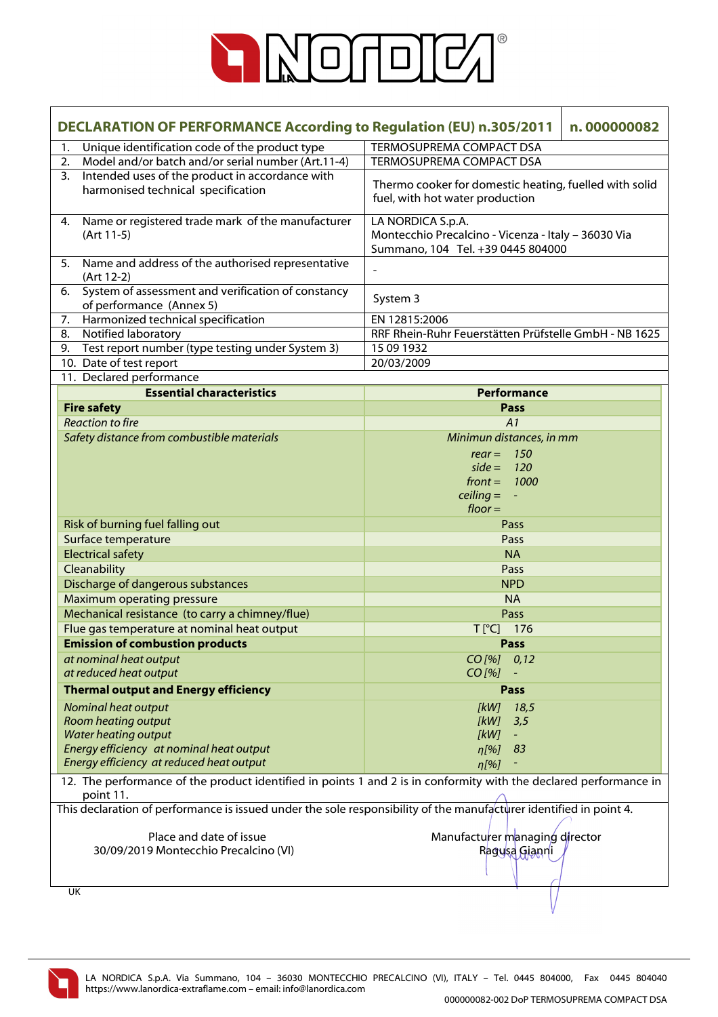

| DECLARATION OF PERFORMANCE According to Regulation (EU) n.305/2011<br>n.000000082                                              |                                                                                                               |  |
|--------------------------------------------------------------------------------------------------------------------------------|---------------------------------------------------------------------------------------------------------------|--|
| Unique identification code of the product type<br>1.                                                                           | TERMOSUPREMA COMPACT DSA                                                                                      |  |
| Model and/or batch and/or serial number (Art.11-4)<br>2.                                                                       | TERMOSUPREMA COMPACT DSA                                                                                      |  |
| Intended uses of the product in accordance with<br>3 <sub>1</sub><br>harmonised technical specification                        | Thermo cooker for domestic heating, fuelled with solid<br>fuel, with hot water production                     |  |
| Name or registered trade mark of the manufacturer<br>4.<br>(Art 11-5)                                                          | LA NORDICA S.p.A.<br>Montecchio Precalcino - Vicenza - Italy - 36030 Via<br>Summano, 104 Tel. +39 0445 804000 |  |
| Name and address of the authorised representative<br>5.<br>(Art 12-2)                                                          | $\overline{\phantom{a}}$                                                                                      |  |
| System of assessment and verification of constancy<br>6.<br>of performance (Annex 5)                                           | System 3                                                                                                      |  |
| Harmonized technical specification<br>7.                                                                                       | EN 12815:2006                                                                                                 |  |
| Notified laboratory<br>8.                                                                                                      | RRF Rhein-Ruhr Feuerstätten Prüfstelle GmbH - NB 1625                                                         |  |
| Test report number (type testing under System 3)<br>9.                                                                         | 15 09 1932                                                                                                    |  |
| 10. Date of test report                                                                                                        | 20/03/2009                                                                                                    |  |
| 11. Declared performance<br><b>Essential characteristics</b>                                                                   |                                                                                                               |  |
|                                                                                                                                | Performance<br><b>Pass</b>                                                                                    |  |
| <b>Fire safety</b><br><b>Reaction to fire</b>                                                                                  | A1                                                                                                            |  |
| Safety distance from combustible materials                                                                                     | Minimun distances, in mm                                                                                      |  |
|                                                                                                                                | $rear = 150$                                                                                                  |  |
|                                                                                                                                | $side = 120$                                                                                                  |  |
|                                                                                                                                | $front =$<br>1000                                                                                             |  |
|                                                                                                                                | $\text{ceiling} = -$                                                                                          |  |
|                                                                                                                                | $floor =$                                                                                                     |  |
| Risk of burning fuel falling out                                                                                               | Pass                                                                                                          |  |
| Surface temperature                                                                                                            | Pass                                                                                                          |  |
| <b>Electrical safety</b>                                                                                                       | <b>NA</b>                                                                                                     |  |
| Cleanability                                                                                                                   | Pass                                                                                                          |  |
| Discharge of dangerous substances                                                                                              | <b>NPD</b>                                                                                                    |  |
| <b>Maximum operating pressure</b>                                                                                              | <b>NA</b>                                                                                                     |  |
| Mechanical resistance (to carry a chimney/flue)                                                                                | Pass                                                                                                          |  |
| Flue gas temperature at nominal heat output                                                                                    | $T[^{\circ}C]$<br>176                                                                                         |  |
| <b>Emission of combustion products</b>                                                                                         | <b>Pass</b>                                                                                                   |  |
| at nominal heat output                                                                                                         | $CO$ [%]<br>0,12                                                                                              |  |
| at reduced heat output                                                                                                         | $CO$ [%]                                                                                                      |  |
| <b>Thermal output and Energy efficiency</b>                                                                                    | Pass                                                                                                          |  |
| Nominal heat output                                                                                                            | [kW]<br>18,5                                                                                                  |  |
| Room heating output                                                                                                            | [kW]<br>3,5                                                                                                   |  |
| <b>Water heating output</b>                                                                                                    | [kW]<br>$\blacksquare$                                                                                        |  |
| Energy efficiency at nominal heat output                                                                                       | 83<br>$\eta$ [%]                                                                                              |  |
| Energy efficiency at reduced heat output                                                                                       | $\eta$ [%]                                                                                                    |  |
| 12. The performance of the product identified in points 1 and 2 is in conformity with the declared performance in<br>point 11. |                                                                                                               |  |
| This declaration of performance is issued under the sole responsibility of the manufacturer identified in point 4.             |                                                                                                               |  |
| Place and date of issue                                                                                                        |                                                                                                               |  |
| 30/09/2019 Montecchio Precalcino (VI)                                                                                          | Manufacturer managing director                                                                                |  |
|                                                                                                                                | Ragusa Gianni                                                                                                 |  |
|                                                                                                                                |                                                                                                               |  |
| UK                                                                                                                             |                                                                                                               |  |

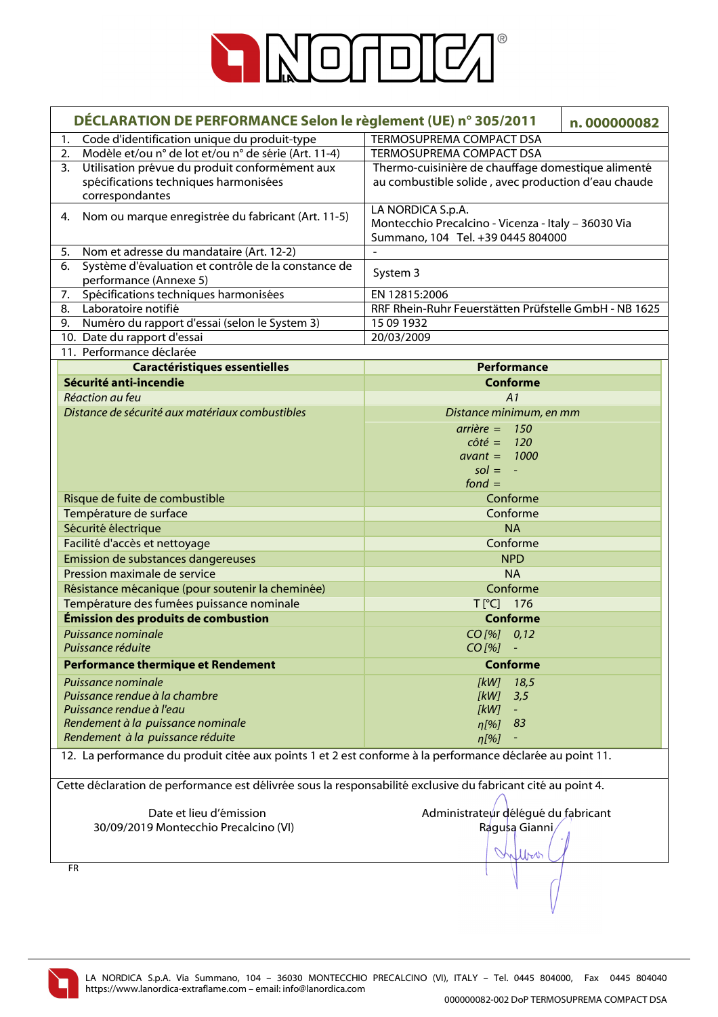

| DÉCLARATION DE PERFORMANCE Selon le règlement (UE) n° 305/2011                                               |                                                       | n.000000082 |
|--------------------------------------------------------------------------------------------------------------|-------------------------------------------------------|-------------|
| 1.<br>Code d'identification unique du produit-type                                                           | TERMOSUPREMA COMPACT DSA                              |             |
| Modèle et/ou n° de lot et/ou n° de série (Art. 11-4)<br>2.<br>TERMOSUPREMA COMPACT DSA                       |                                                       |             |
| Utilisation prévue du produit conformément aux<br>3.                                                         | Thermo-cuisinière de chauffage domestique alimenté    |             |
| spécifications techniques harmonisées                                                                        | au combustible solide, avec production d'eau chaude   |             |
| correspondantes                                                                                              | LA NORDICA S.p.A.                                     |             |
| Nom ou marque enregistrée du fabricant (Art. 11-5)<br>4.                                                     | Montecchio Precalcino - Vicenza - Italy - 36030 Via   |             |
|                                                                                                              | Summano, 104 Tel. +39 0445 804000                     |             |
| Nom et adresse du mandataire (Art. 12-2)<br>5.                                                               | $\overline{\phantom{a}}$                              |             |
| Système d'évaluation et contrôle de la constance de<br>6.                                                    | System 3                                              |             |
| performance (Annexe 5)                                                                                       |                                                       |             |
| Spécifications techniques harmonisées<br>7.                                                                  | EN 12815:2006                                         |             |
| Laboratoire notifié<br>8.                                                                                    | RRF Rhein-Ruhr Feuerstätten Prüfstelle GmbH - NB 1625 |             |
| Numéro du rapport d'essai (selon le System 3)<br>9.                                                          | 15 09 1932                                            |             |
| 10. Date du rapport d'essai<br>11. Performance déclarée                                                      | 20/03/2009                                            |             |
| <b>Caractéristiques essentielles</b>                                                                         | Performance                                           |             |
| Sécurité anti-incendie                                                                                       | <b>Conforme</b>                                       |             |
| Réaction au feu                                                                                              | A1                                                    |             |
| Distance de sécurité aux matériaux combustibles                                                              | Distance minimum, en mm                               |             |
|                                                                                                              | $arrière = 150$                                       |             |
|                                                                                                              | $c \hat{o} t \hat{e} = 120$                           |             |
|                                                                                                              | $avant = 1000$                                        |             |
|                                                                                                              | $sol = -$                                             |             |
|                                                                                                              | fond $=$                                              |             |
| Risque de fuite de combustible                                                                               | Conforme                                              |             |
| Température de surface                                                                                       | Conforme                                              |             |
| Sécurité électrique                                                                                          | <b>NA</b>                                             |             |
| Facilité d'accès et nettoyage                                                                                | Conforme                                              |             |
| Emission de substances dangereuses                                                                           | <b>NPD</b>                                            |             |
| Pression maximale de service                                                                                 | <b>NA</b>                                             |             |
| Résistance mécanique (pour soutenir la cheminée)                                                             | Conforme                                              |             |
| Température des fumées puissance nominale                                                                    | T[°C] 176                                             |             |
| Émission des produits de combustion                                                                          | <b>Conforme</b>                                       |             |
| Puissance nominale<br>Puissance réduite                                                                      | $CO$ [%] $0,12$<br>$CO$ [%]                           |             |
|                                                                                                              |                                                       |             |
| <b>Performance thermique et Rendement</b>                                                                    | <b>Conforme</b>                                       |             |
| Puissance nominale<br>Puissance rendue à la chambre                                                          | [kW]<br>18,5                                          |             |
| Puissance rendue à l'eau                                                                                     | [kW]<br>3,5<br>[kW]                                   |             |
| Rendement à la puissance nominale                                                                            | $n[\%]$<br>83                                         |             |
| Rendement à la puissance réduite                                                                             | n[%]                                                  |             |
| 12. La performance du produit citée aux points 1 et 2 est conforme à la performance déclarée au point 11.    |                                                       |             |
|                                                                                                              |                                                       |             |
| Cette déclaration de performance est délivrée sous la responsabilité exclusive du fabricant cité au point 4. |                                                       |             |
| Date et lieu d'émission                                                                                      | Administrateur délégué du fabricant                   |             |
| 30/09/2019 Montecchio Precalcino (VI)                                                                        | Ragusa Gianni,                                        |             |
|                                                                                                              |                                                       |             |
|                                                                                                              | Kylbor                                                |             |
| <b>FR</b>                                                                                                    |                                                       |             |
|                                                                                                              |                                                       |             |
|                                                                                                              |                                                       |             |

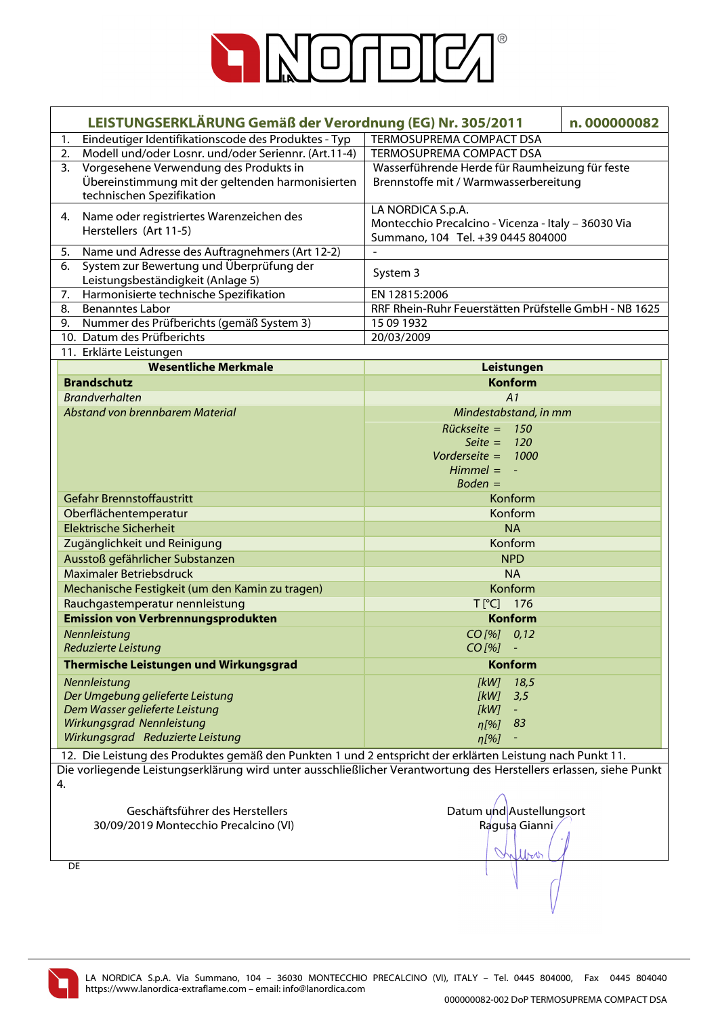

| LEISTUNGSERKLÄRUNG Gemäß der Verordnung (EG) Nr. 305/2011<br>n.000000082<br>TERMOSUPREMA COMPACT DSA<br>Eindeutiger Identifikationscode des Produktes - Typ<br>1.<br>Modell und/oder Losnr. und/oder Seriennr. (Art.11-4)<br>TERMOSUPREMA COMPACT DSA<br>2.<br>Vorgesehene Verwendung des Produkts in<br>Wasserführende Herde für Raumheizung für feste<br>3.<br>Übereinstimmung mit der geltenden harmonisierten<br>Brennstoffe mit / Warmwasserbereitung<br>technischen Spezifikation<br>LA NORDICA S.p.A.<br>Name oder registriertes Warenzeichen des<br>4.<br>Montecchio Precalcino - Vicenza - Italy - 36030 Via |  |
|-----------------------------------------------------------------------------------------------------------------------------------------------------------------------------------------------------------------------------------------------------------------------------------------------------------------------------------------------------------------------------------------------------------------------------------------------------------------------------------------------------------------------------------------------------------------------------------------------------------------------|--|
|                                                                                                                                                                                                                                                                                                                                                                                                                                                                                                                                                                                                                       |  |
|                                                                                                                                                                                                                                                                                                                                                                                                                                                                                                                                                                                                                       |  |
|                                                                                                                                                                                                                                                                                                                                                                                                                                                                                                                                                                                                                       |  |
|                                                                                                                                                                                                                                                                                                                                                                                                                                                                                                                                                                                                                       |  |
|                                                                                                                                                                                                                                                                                                                                                                                                                                                                                                                                                                                                                       |  |
|                                                                                                                                                                                                                                                                                                                                                                                                                                                                                                                                                                                                                       |  |
|                                                                                                                                                                                                                                                                                                                                                                                                                                                                                                                                                                                                                       |  |
| Herstellers (Art 11-5)<br>Summano, 104 Tel. +39 0445 804000                                                                                                                                                                                                                                                                                                                                                                                                                                                                                                                                                           |  |
| 5.<br>Name und Adresse des Auftragnehmers (Art 12-2)                                                                                                                                                                                                                                                                                                                                                                                                                                                                                                                                                                  |  |
| System zur Bewertung und Überprüfung der<br>6.<br>System 3                                                                                                                                                                                                                                                                                                                                                                                                                                                                                                                                                            |  |
| Leistungsbeständigkeit (Anlage 5)                                                                                                                                                                                                                                                                                                                                                                                                                                                                                                                                                                                     |  |
| Harmonisierte technische Spezifikation<br>EN 12815:2006<br>7.<br>8.<br><b>Benanntes Labor</b>                                                                                                                                                                                                                                                                                                                                                                                                                                                                                                                         |  |
| RRF Rhein-Ruhr Feuerstätten Prüfstelle GmbH - NB 1625<br>Nummer des Prüfberichts (gemäß System 3)<br>15 09 1932<br>9.                                                                                                                                                                                                                                                                                                                                                                                                                                                                                                 |  |
| 10. Datum des Prüfberichts<br>20/03/2009                                                                                                                                                                                                                                                                                                                                                                                                                                                                                                                                                                              |  |
| 11. Erklärte Leistungen                                                                                                                                                                                                                                                                                                                                                                                                                                                                                                                                                                                               |  |
| <b>Wesentliche Merkmale</b><br>Leistungen                                                                                                                                                                                                                                                                                                                                                                                                                                                                                                                                                                             |  |
| <b>Brandschutz</b><br><b>Konform</b>                                                                                                                                                                                                                                                                                                                                                                                                                                                                                                                                                                                  |  |
| <b>Brandverhalten</b><br>A1                                                                                                                                                                                                                                                                                                                                                                                                                                                                                                                                                                                           |  |
| Abstand von brennbarem Material<br>Mindestabstand, in mm                                                                                                                                                                                                                                                                                                                                                                                                                                                                                                                                                              |  |
| $Rückseite = 150$                                                                                                                                                                                                                                                                                                                                                                                                                                                                                                                                                                                                     |  |
| Seite = $120$                                                                                                                                                                                                                                                                                                                                                                                                                                                                                                                                                                                                         |  |
| Vorderseite = $1000$                                                                                                                                                                                                                                                                                                                                                                                                                                                                                                                                                                                                  |  |
| $Himmel = -$                                                                                                                                                                                                                                                                                                                                                                                                                                                                                                                                                                                                          |  |
| $Boden =$                                                                                                                                                                                                                                                                                                                                                                                                                                                                                                                                                                                                             |  |
| Gefahr Brennstoffaustritt<br>Konform                                                                                                                                                                                                                                                                                                                                                                                                                                                                                                                                                                                  |  |
| Oberflächentemperatur<br>Konform                                                                                                                                                                                                                                                                                                                                                                                                                                                                                                                                                                                      |  |
| <b>Elektrische Sicherheit</b><br><b>NA</b>                                                                                                                                                                                                                                                                                                                                                                                                                                                                                                                                                                            |  |
| Konform<br>Zugänglichkeit und Reinigung                                                                                                                                                                                                                                                                                                                                                                                                                                                                                                                                                                               |  |
| Ausstoß gefährlicher Substanzen<br><b>NPD</b>                                                                                                                                                                                                                                                                                                                                                                                                                                                                                                                                                                         |  |
| Maximaler Betriebsdruck<br><b>NA</b>                                                                                                                                                                                                                                                                                                                                                                                                                                                                                                                                                                                  |  |
| Konform<br>Mechanische Festigkeit (um den Kamin zu tragen)                                                                                                                                                                                                                                                                                                                                                                                                                                                                                                                                                            |  |
|                                                                                                                                                                                                                                                                                                                                                                                                                                                                                                                                                                                                                       |  |
| Rauchgastemperatur nennleistung<br>T[°C] 176                                                                                                                                                                                                                                                                                                                                                                                                                                                                                                                                                                          |  |
| <b>Emission von Verbrennungsprodukten</b><br><b>Konform</b>                                                                                                                                                                                                                                                                                                                                                                                                                                                                                                                                                           |  |
| Nennleistung<br>$CO$ [%] $0,12$                                                                                                                                                                                                                                                                                                                                                                                                                                                                                                                                                                                       |  |
| Reduzierte Leistung<br>$CO [%] -$                                                                                                                                                                                                                                                                                                                                                                                                                                                                                                                                                                                     |  |
| Thermische Leistungen und Wirkungsgrad<br><b>Konform</b>                                                                                                                                                                                                                                                                                                                                                                                                                                                                                                                                                              |  |
| Nennleistung<br>[kW]<br>18,5                                                                                                                                                                                                                                                                                                                                                                                                                                                                                                                                                                                          |  |
| Der Umgebung gelieferte Leistung<br>[kW]<br>3,5                                                                                                                                                                                                                                                                                                                                                                                                                                                                                                                                                                       |  |
| Dem Wasser gelieferte Leistung<br>[kW]<br>$\equiv$                                                                                                                                                                                                                                                                                                                                                                                                                                                                                                                                                                    |  |
| Wirkungsgrad Nennleistung<br>$\eta$ [%] 83                                                                                                                                                                                                                                                                                                                                                                                                                                                                                                                                                                            |  |
| Wirkungsgrad Reduzierte Leistung<br>$\eta$ [%]                                                                                                                                                                                                                                                                                                                                                                                                                                                                                                                                                                        |  |
| 12. Die Leistung des Produktes gemäß den Punkten 1 und 2 entspricht der erklärten Leistung nach Punkt 11.                                                                                                                                                                                                                                                                                                                                                                                                                                                                                                             |  |
| Die vorliegende Leistungserklärung wird unter ausschließlicher Verantwortung des Herstellers erlassen, siehe Punkt                                                                                                                                                                                                                                                                                                                                                                                                                                                                                                    |  |
| 4.                                                                                                                                                                                                                                                                                                                                                                                                                                                                                                                                                                                                                    |  |
| Geschäftsführer des Herstellers<br>Datum und Austellungsort                                                                                                                                                                                                                                                                                                                                                                                                                                                                                                                                                           |  |
| Ragusa Gianni<br>30/09/2019 Montecchio Precalcino (VI)                                                                                                                                                                                                                                                                                                                                                                                                                                                                                                                                                                |  |
|                                                                                                                                                                                                                                                                                                                                                                                                                                                                                                                                                                                                                       |  |
| lbo                                                                                                                                                                                                                                                                                                                                                                                                                                                                                                                                                                                                                   |  |
| DE                                                                                                                                                                                                                                                                                                                                                                                                                                                                                                                                                                                                                    |  |
|                                                                                                                                                                                                                                                                                                                                                                                                                                                                                                                                                                                                                       |  |

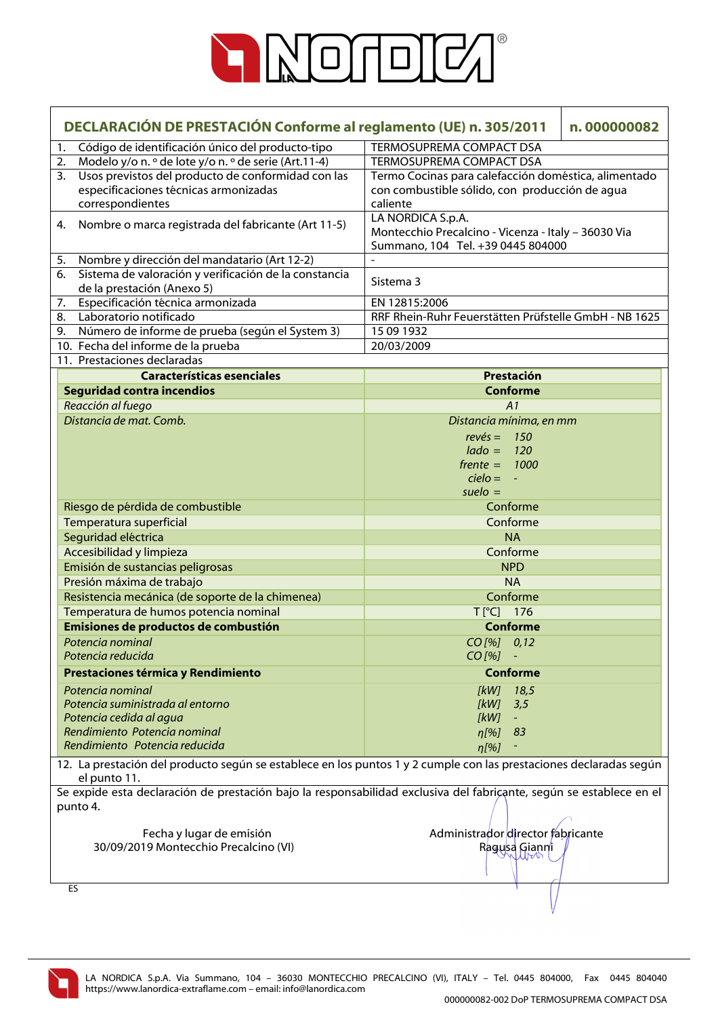

| DECLARACIÓN DE PRESTACIÓN Conforme al reglamento (UE) n. 305/2011<br>n.000000082 |                                                       |                                                                                                                     |  |
|----------------------------------------------------------------------------------|-------------------------------------------------------|---------------------------------------------------------------------------------------------------------------------|--|
| 1.                                                                               | Código de identificación único del producto-tipo      | <b>TERMOSUPREMA COMPACT DSA</b>                                                                                     |  |
| 2.                                                                               | Modelo y/o n. º de lote y/o n. º de serie (Art.11-4)  | TERMOSUPREMA COMPACT DSA                                                                                            |  |
| 3.                                                                               | Usos previstos del producto de conformidad con las    | Termo Cocinas para calefacción doméstica, alimentado                                                                |  |
|                                                                                  | especificaciones técnicas armonizadas                 | con combustible sólido, con producción de agua                                                                      |  |
|                                                                                  | correspondientes                                      | caliente                                                                                                            |  |
| 4.                                                                               | Nombre o marca registrada del fabricante (Art 11-5)   | LA NORDICA S.p.A.<br>Montecchio Precalcino - Vicenza - Italy - 36030 Via<br>Summano, 104 Tel. +39 0445 804000       |  |
| 5.                                                                               | Nombre y dirección del mandatario (Art 12-2)          |                                                                                                                     |  |
| 6.                                                                               | Sistema de valoración y verificación de la constancia | Sistema 3                                                                                                           |  |
|                                                                                  | de la prestación (Anexo 5)                            |                                                                                                                     |  |
| 7.                                                                               | Especificación técnica armonizada                     | EN 12815:2006                                                                                                       |  |
| 8.                                                                               | Laboratorio notificado                                | RRF Rhein-Ruhr Feuerstätten Prüfstelle GmbH - NB 1625                                                               |  |
| 9.                                                                               | Número de informe de prueba (según el System 3)       | 15 09 1932                                                                                                          |  |
|                                                                                  | 10. Fecha del informe de la prueba                    | 20/03/2009                                                                                                          |  |
|                                                                                  | 11. Prestaciones declaradas                           |                                                                                                                     |  |
|                                                                                  | <b>Características esenciales</b>                     | Prestación                                                                                                          |  |
|                                                                                  | <b>Seguridad contra incendios</b>                     | <b>Conforme</b>                                                                                                     |  |
|                                                                                  | Reacción al fuego                                     | A1                                                                                                                  |  |
|                                                                                  | Distancia de mat. Comb.                               | Distancia mínima, en mm                                                                                             |  |
|                                                                                  |                                                       | 150<br>$rev\acute{e}s =$                                                                                            |  |
|                                                                                  |                                                       | $lado =$<br>120                                                                                                     |  |
|                                                                                  |                                                       | $f$ rente $=$<br>1000                                                                                               |  |
|                                                                                  |                                                       | $cielo = -$                                                                                                         |  |
|                                                                                  |                                                       | $suelo =$                                                                                                           |  |
|                                                                                  | Riesgo de pérdida de combustible                      | Conforme                                                                                                            |  |
|                                                                                  | Temperatura superficial                               | Conforme                                                                                                            |  |
|                                                                                  | Seguridad eléctrica                                   | <b>NA</b>                                                                                                           |  |
|                                                                                  | Accesibilidad y limpieza                              | Conforme                                                                                                            |  |
|                                                                                  | Emisión de sustancias peligrosas                      | <b>NPD</b>                                                                                                          |  |
|                                                                                  | Presión máxima de trabajo                             | <b>NA</b>                                                                                                           |  |
|                                                                                  | Resistencia mecánica (de soporte de la chimenea)      | Conforme                                                                                                            |  |
|                                                                                  | Temperatura de humos potencia nominal                 | T[°C] 176                                                                                                           |  |
|                                                                                  | Emisiones de productos de combustión                  | <b>Conforme</b>                                                                                                     |  |
|                                                                                  | Potencia nominal                                      | $CO$ [%] $0,12$                                                                                                     |  |
|                                                                                  | Potencia reducida                                     | CO [%]                                                                                                              |  |
|                                                                                  | Prestaciones térmica y Rendimiento                    | <b>Conforme</b>                                                                                                     |  |
|                                                                                  | Potencia nominal                                      | 18,5<br>[kW]                                                                                                        |  |
|                                                                                  | Potencia suministrada al entorno                      | 3,5<br>[kW]                                                                                                         |  |
|                                                                                  | Potencia cedida al agua                               | [kW]                                                                                                                |  |
|                                                                                  | Rendimiento Potencia nominal                          | 83<br>$n[\%]$                                                                                                       |  |
|                                                                                  | Rendimiento Potencia reducida                         | $\eta$ [%]                                                                                                          |  |
|                                                                                  |                                                       | 12. La prestación del producto según se establece en los puntos 1 y 2 cumple con las prestaciones declaradas según  |  |
|                                                                                  | el punto 11.                                          | Se expide esta declaración de prestación bajo la responsabilidad exclusiva del fabriçante, según se establece en el |  |
|                                                                                  | punto 4.                                              |                                                                                                                     |  |
|                                                                                  | Fecha y lugar de emisión                              | Administrador director fabricante                                                                                   |  |
|                                                                                  | 30/09/2019 Montecchio Precalcino (VI)                 | Ragusa Gianni                                                                                                       |  |
|                                                                                  |                                                       |                                                                                                                     |  |
|                                                                                  | ES                                                    |                                                                                                                     |  |

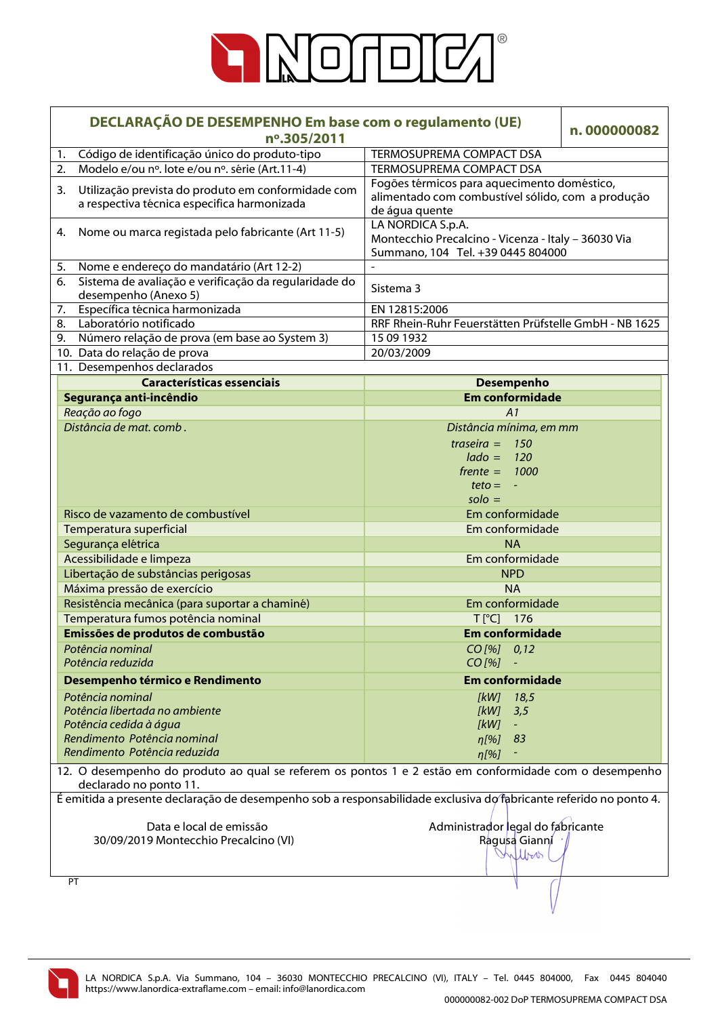

|                                                          | DECLARAÇÃO DE DESEMPENHO Em base com o regulamento (UE)<br>nº.305/2011                                                            |                                                                                                                    | n.000000082 |
|----------------------------------------------------------|-----------------------------------------------------------------------------------------------------------------------------------|--------------------------------------------------------------------------------------------------------------------|-------------|
| 1.                                                       | Código de identificação único do produto-tipo                                                                                     | <b>TERMOSUPREMA COMPACT DSA</b>                                                                                    |             |
| 2.                                                       | Modelo e/ou nº. lote e/ou nº. série (Art.11-4)                                                                                    | TERMOSUPREMA COMPACT DSA                                                                                           |             |
| 3.                                                       | Utilização prevista do produto em conformidade com<br>a respectiva técnica especifica harmonizada                                 | Fogões térmicos para aquecimento doméstico,<br>alimentado com combustível sólido, com a produção<br>de água quente |             |
| Nome ou marca registada pelo fabricante (Art 11-5)<br>4. |                                                                                                                                   | LA NORDICA S.p.A.<br>Montecchio Precalcino - Vicenza - Italy - 36030 Via<br>Summano, 104 Tel. +39 0445 804000      |             |
| 5.                                                       | Nome e endereço do mandatário (Art 12-2)                                                                                          |                                                                                                                    |             |
| 6.                                                       | Sistema de avaliação e verificação da regularidade do<br>desempenho (Anexo 5)                                                     | Sistema 3                                                                                                          |             |
| 7.                                                       | Específica técnica harmonizada                                                                                                    | EN 12815:2006                                                                                                      |             |
| 8.                                                       | Laboratório notificado                                                                                                            | RRF Rhein-Ruhr Feuerstätten Prüfstelle GmbH - NB 1625                                                              |             |
| 9.                                                       | Número relação de prova (em base ao System 3)                                                                                     | 15 09 1932                                                                                                         |             |
|                                                          | 10. Data do relação de prova                                                                                                      | 20/03/2009                                                                                                         |             |
|                                                          | 11. Desempenhos declarados                                                                                                        |                                                                                                                    |             |
|                                                          | <b>Características essenciais</b>                                                                                                 | <b>Desempenho</b>                                                                                                  |             |
|                                                          | Segurança anti-incêndio                                                                                                           | <b>Em conformidade</b>                                                                                             |             |
|                                                          | Reação ao fogo                                                                                                                    | A1                                                                                                                 |             |
|                                                          | Distância de mat. comb.                                                                                                           | Distância mínima, em mm                                                                                            |             |
|                                                          |                                                                                                                                   | traseira $=$<br>150                                                                                                |             |
|                                                          |                                                                                                                                   | $lado =$<br>120                                                                                                    |             |
|                                                          |                                                                                                                                   | $f$ rente = 1000                                                                                                   |             |
|                                                          |                                                                                                                                   | $teto = -$                                                                                                         |             |
|                                                          |                                                                                                                                   | $\text{solo} =$                                                                                                    |             |
|                                                          | Risco de vazamento de combustível                                                                                                 | Em conformidade                                                                                                    |             |
|                                                          | Temperatura superficial                                                                                                           | Em conformidade                                                                                                    |             |
|                                                          | Segurança elétrica                                                                                                                | <b>NA</b>                                                                                                          |             |
|                                                          | Acessibilidade e limpeza                                                                                                          | Em conformidade                                                                                                    |             |
|                                                          | Libertação de substâncias perigosas                                                                                               | <b>NPD</b>                                                                                                         |             |
|                                                          | Máxima pressão de exercício                                                                                                       | <b>NA</b>                                                                                                          |             |
|                                                          | Resistência mecânica (para suportar a chaminé)                                                                                    | Em conformidade                                                                                                    |             |
|                                                          | Temperatura fumos potência nominal                                                                                                | $T[^{°}C]$ 176                                                                                                     |             |
|                                                          | Emissões de produtos de combustão                                                                                                 | <b>Em conformidade</b>                                                                                             |             |
|                                                          | Potência nominal                                                                                                                  | $CO$ [%] $0,12$                                                                                                    |             |
|                                                          | Potência reduzida                                                                                                                 | $CO$ [%]                                                                                                           |             |
|                                                          | Desempenho térmico e Rendimento                                                                                                   | <b>Em conformidade</b>                                                                                             |             |
|                                                          | Potência nominal                                                                                                                  |                                                                                                                    |             |
|                                                          | Potência libertada no ambiente                                                                                                    | [kW]<br>18,5<br>[kW]<br>3,5                                                                                        |             |
|                                                          | Potência cedida à água                                                                                                            | [kW]                                                                                                               |             |
|                                                          | Rendimento Potência nominal                                                                                                       | 83<br>$n[\%]$                                                                                                      |             |
|                                                          | Rendimento Potência reduzida                                                                                                      | $\eta$ [%]                                                                                                         |             |
|                                                          |                                                                                                                                   |                                                                                                                    |             |
|                                                          | 12. O desempenho do produto ao qual se referem os pontos 1 e 2 estão em conformidade com o desempenho<br>declarado no ponto 11.   |                                                                                                                    |             |
|                                                          | É emitida a presente declaração de desempenho sob a responsabilidade exclusiva do fabricante referido no ponto 4.                 |                                                                                                                    |             |
|                                                          | Administrador legal do fabricante<br>Data e local de emissão<br>30/09/2019 Montecchio Precalcino (VI)<br>Ragusa Gianni<br>Milbook |                                                                                                                    |             |
|                                                          | PT                                                                                                                                |                                                                                                                    |             |
|                                                          |                                                                                                                                   |                                                                                                                    |             |

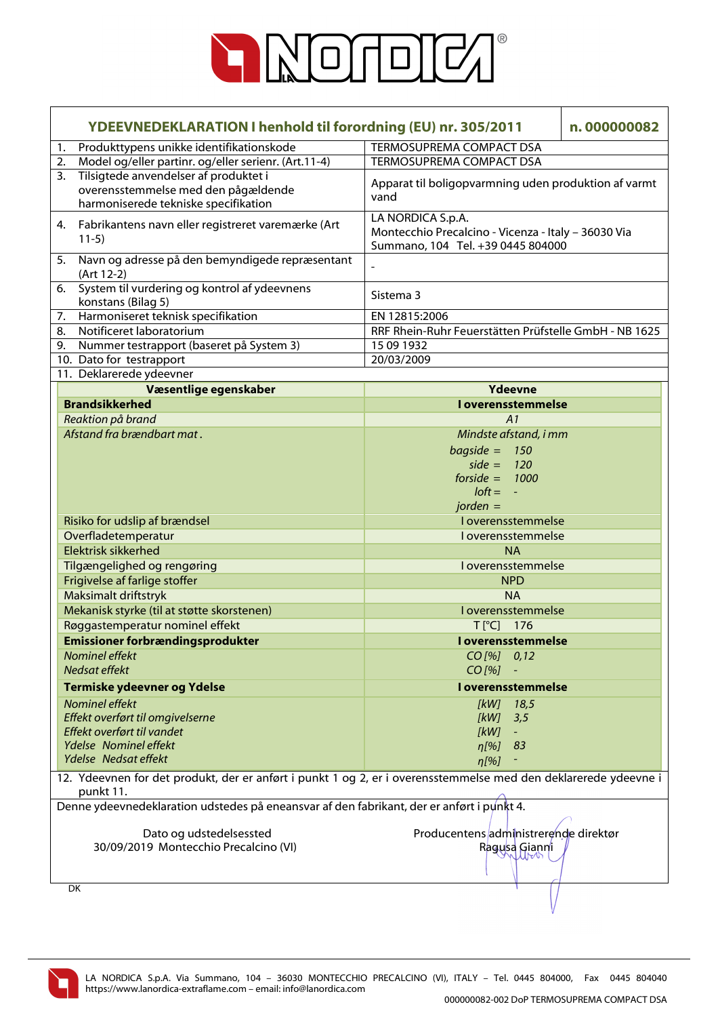

| <b>YDEEVNEDEKLARATION I henhold til forordning (EU) nr. 305/2011</b> |                                                                                                                              | n.000000082                                                                                                   |  |
|----------------------------------------------------------------------|------------------------------------------------------------------------------------------------------------------------------|---------------------------------------------------------------------------------------------------------------|--|
| 1.                                                                   | Produkttypens unikke identifikationskode<br>TERMOSUPREMA COMPACT DSA                                                         |                                                                                                               |  |
| 2.                                                                   | Model og/eller partinr. og/eller serienr. (Art.11-4)                                                                         | TERMOSUPREMA COMPACT DSA                                                                                      |  |
| 3.                                                                   | Tilsigtede anvendelser af produktet i<br>overensstemmelse med den pågældende<br>harmoniserede tekniske specifikation         | Apparat til boligopvarmning uden produktion af varmt<br>vand                                                  |  |
| 4.                                                                   | Fabrikantens navn eller registreret varemærke (Art<br>$11-5)$                                                                | LA NORDICA S.p.A.<br>Montecchio Precalcino - Vicenza - Italy - 36030 Via<br>Summano, 104 Tel. +39 0445 804000 |  |
| 5.                                                                   | Navn og adresse på den bemyndigede repræsentant<br>(Art 12-2)                                                                | $\frac{1}{2}$                                                                                                 |  |
| 6.                                                                   | System til vurdering og kontrol af ydeevnens<br>konstans (Bilag 5)                                                           | Sistema 3                                                                                                     |  |
| 7.                                                                   | Harmoniseret teknisk specifikation                                                                                           | EN 12815:2006                                                                                                 |  |
| 8.                                                                   | Notificeret laboratorium                                                                                                     | RRF Rhein-Ruhr Feuerstätten Prüfstelle GmbH - NB 1625                                                         |  |
| 9.                                                                   | Nummer testrapport (baseret på System 3)                                                                                     | 15 09 1932                                                                                                    |  |
|                                                                      | 10. Dato for testrapport                                                                                                     | 20/03/2009                                                                                                    |  |
|                                                                      | 11. Deklarerede ydeevner                                                                                                     |                                                                                                               |  |
|                                                                      | Væsentlige egenskaber                                                                                                        | Ydeevne                                                                                                       |  |
|                                                                      | <b>Brandsikkerhed</b>                                                                                                        | <b>I</b> overensstemmelse                                                                                     |  |
|                                                                      | Reaktion på brand                                                                                                            | A1                                                                                                            |  |
|                                                                      | Afstand fra brændbart mat.                                                                                                   | Mindste afstand, i mm                                                                                         |  |
|                                                                      |                                                                                                                              | $bagside = 150$                                                                                               |  |
|                                                                      |                                                                                                                              | side = $120$                                                                                                  |  |
|                                                                      |                                                                                                                              | forside = $1000$                                                                                              |  |
|                                                                      |                                                                                                                              | $loft = -$                                                                                                    |  |
|                                                                      |                                                                                                                              | $jorden =$                                                                                                    |  |
|                                                                      | Risiko for udslip af brændsel                                                                                                | I overensstemmelse                                                                                            |  |
|                                                                      | Overfladetemperatur                                                                                                          | I overensstemmelse                                                                                            |  |
|                                                                      | <b>Elektrisk sikkerhed</b>                                                                                                   | <b>NA</b>                                                                                                     |  |
|                                                                      | Tilgængelighed og rengøring                                                                                                  | I overensstemmelse                                                                                            |  |
|                                                                      | Frigivelse af farlige stoffer                                                                                                | <b>NPD</b>                                                                                                    |  |
|                                                                      | Maksimalt driftstryk                                                                                                         | <b>NA</b>                                                                                                     |  |
|                                                                      | Mekanisk styrke (til at støtte skorstenen)                                                                                   | I overensstemmelse                                                                                            |  |
|                                                                      | Røggastemperatur nominel effekt                                                                                              | $T[^{\circ}C]$ 176                                                                                            |  |
|                                                                      | <b>Emissioner forbrændingsprodukter</b>                                                                                      | I overensstemmelse                                                                                            |  |
|                                                                      | Nominel effekt                                                                                                               | CO [%] 0,12                                                                                                   |  |
|                                                                      | Nedsat effekt                                                                                                                | $CO$ [%]                                                                                                      |  |
|                                                                      | Termiske ydeevner og Ydelse                                                                                                  | I overensstemmelse                                                                                            |  |
|                                                                      | Nominel effekt                                                                                                               | [kW]<br>18,5                                                                                                  |  |
|                                                                      | Effekt overført til omgivelserne                                                                                             | [kW]<br>3,5                                                                                                   |  |
|                                                                      | Effekt overført til vandet                                                                                                   | [kW]<br>$\equiv$                                                                                              |  |
|                                                                      | Ydelse Nominel effekt                                                                                                        | 83<br>$\eta$ [%]                                                                                              |  |
|                                                                      | Ydelse Nedsat effekt                                                                                                         | $\eta$ [%]                                                                                                    |  |
|                                                                      | 12. Ydeevnen for det produkt, der er anført i punkt 1 og 2, er i overensstemmelse med den deklarerede ydeevne i<br>punkt 11. |                                                                                                               |  |
|                                                                      | Denne ydeevnedeklaration udstedes på eneansvar af den fabrikant, der er anført i punkt 4.                                    |                                                                                                               |  |
|                                                                      | Dato og udstedelsessted                                                                                                      | Producentens administrerende direktør                                                                         |  |
|                                                                      | 30/09/2019 Montecchio Precalcino (VI)                                                                                        | Ragusa Gianni                                                                                                 |  |
|                                                                      |                                                                                                                              |                                                                                                               |  |
|                                                                      | DK                                                                                                                           |                                                                                                               |  |
|                                                                      |                                                                                                                              |                                                                                                               |  |

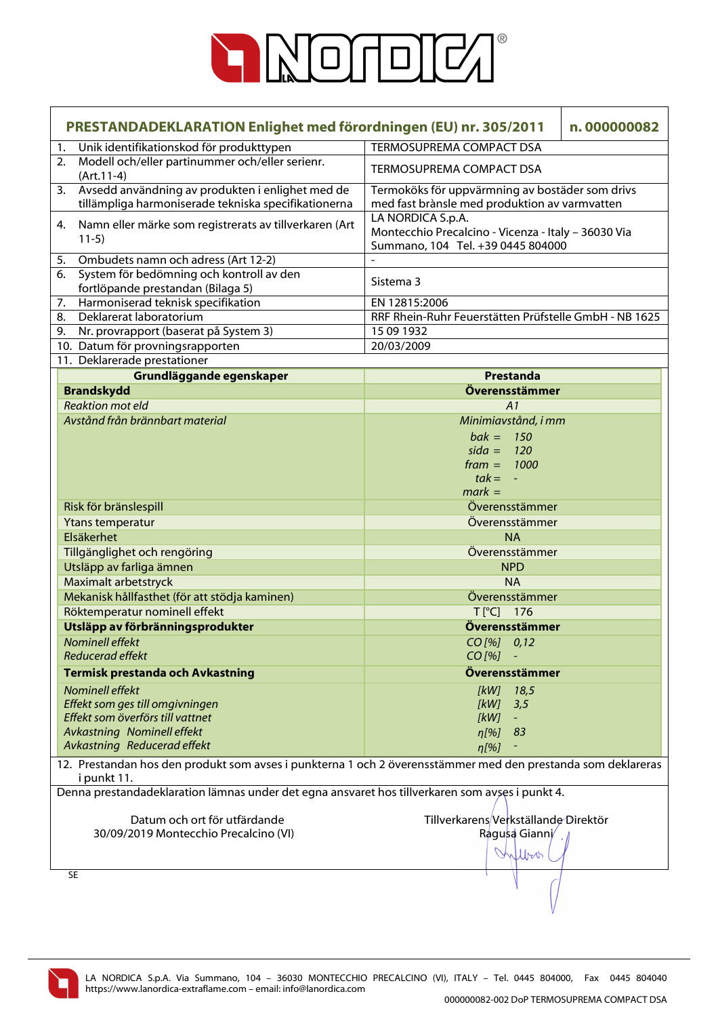

| PRESTANDADEKLARATION Enlighet med förordningen (EU) nr. 305/2011<br>n.000000082                                             |                                                                                                               |  |
|-----------------------------------------------------------------------------------------------------------------------------|---------------------------------------------------------------------------------------------------------------|--|
| Unik identifikationskod för produkttypen<br>1.                                                                              | <b>TERMOSUPREMA COMPACT DSA</b>                                                                               |  |
| 2. Modell och/eller partinummer och/eller serienr.<br>$(Art.11-4)$                                                          | <b>TERMOSUPREMA COMPACT DSA</b>                                                                               |  |
| Avsedd användning av produkten i enlighet med de<br>3.<br>tillämpliga harmoniserade tekniska specifikationerna              | Termoköks för uppvärmning av bostäder som drivs<br>med fast brànsle med produktion av varmvatten              |  |
| Namn eller märke som registrerats av tillverkaren (Art<br>4.<br>$11-5)$                                                     | LA NORDICA S.p.A.<br>Montecchio Precalcino - Vicenza - Italy - 36030 Via<br>Summano, 104 Tel. +39 0445 804000 |  |
| Ombudets namn och adress (Art 12-2)<br>5.                                                                                   |                                                                                                               |  |
| System för bedömning och kontroll av den<br>6.                                                                              | Sistema 3                                                                                                     |  |
| fortlöpande prestandan (Bilaga 5)                                                                                           |                                                                                                               |  |
| Harmoniserad teknisk specifikation<br>7.                                                                                    | EN 12815:2006                                                                                                 |  |
| Deklarerat laboratorium<br>8.                                                                                               | RRF Rhein-Ruhr Feuerstätten Prüfstelle GmbH - NB 1625                                                         |  |
| Nr. provrapport (baserat på System 3)<br>9.                                                                                 | 15 09 1932                                                                                                    |  |
| 10. Datum för provningsrapporten                                                                                            | 20/03/2009                                                                                                    |  |
| 11. Deklarerade prestationer                                                                                                |                                                                                                               |  |
| Grundläggande egenskaper                                                                                                    | <b>Prestanda</b>                                                                                              |  |
| <b>Brandskydd</b>                                                                                                           | Överensstämmer                                                                                                |  |
| <b>Reaktion mot eld</b>                                                                                                     | A1                                                                                                            |  |
| Avstånd från brännbart material                                                                                             | Minimiavstånd, i mm                                                                                           |  |
|                                                                                                                             | $bak = 150$                                                                                                   |  |
|                                                                                                                             | $sida = 120$                                                                                                  |  |
|                                                                                                                             | $frame = 1000$                                                                                                |  |
|                                                                                                                             | $tak = -$                                                                                                     |  |
|                                                                                                                             | $mark =$                                                                                                      |  |
| Risk för bränslespill                                                                                                       | Överensstämmer                                                                                                |  |
| Ytans temperatur                                                                                                            | Överensstämmer                                                                                                |  |
| Elsäkerhet                                                                                                                  | <b>NA</b>                                                                                                     |  |
| Tillgänglighet och rengöring                                                                                                | Överensstämmer                                                                                                |  |
| Utsläpp av farliga ämnen                                                                                                    | <b>NPD</b>                                                                                                    |  |
| Maximalt arbetstryck                                                                                                        | <b>NA</b>                                                                                                     |  |
| Mekanisk hållfasthet (för att stödja kaminen)                                                                               | Överensstämmer                                                                                                |  |
| Röktemperatur nominell effekt                                                                                               | T[°C] 176                                                                                                     |  |
| Utsläpp av förbränningsprodukter                                                                                            | Överensstämmer                                                                                                |  |
| Nominell effekt                                                                                                             | CO [%] 0,12                                                                                                   |  |
| <b>Reducerad effekt</b>                                                                                                     | $CO$ [%]                                                                                                      |  |
|                                                                                                                             |                                                                                                               |  |
| Termisk prestanda och Avkastning                                                                                            | Överensstämmer                                                                                                |  |
| Nominell effekt                                                                                                             | [kW]<br>18,5                                                                                                  |  |
| Effekt som ges till omgivningen                                                                                             | 3,5<br>[kW]                                                                                                   |  |
| Effekt som överförs till vattnet                                                                                            | [kW]<br>$\blacksquare$                                                                                        |  |
| Avkastning Nominell effekt                                                                                                  | 83<br>$\eta$ [%]                                                                                              |  |
| Avkastning Reducerad effekt                                                                                                 | $\eta$ [%]                                                                                                    |  |
| 12. Prestandan hos den produkt som avses i punkterna 1 och 2 överensstämmer med den prestanda som deklareras<br>i punkt 11. |                                                                                                               |  |
| Denna prestandadeklaration lämnas under det egna ansvaret hos tillverkaren som avses i punkt 4.                             |                                                                                                               |  |
| Datum och ort för utfärdande                                                                                                | Tillverkarens/Verkställande Direktör                                                                          |  |
| 30/09/2019 Montecchio Precalcino (VI)                                                                                       | Ragusa Gianni                                                                                                 |  |
|                                                                                                                             | William                                                                                                       |  |
|                                                                                                                             |                                                                                                               |  |
| <b>SE</b>                                                                                                                   |                                                                                                               |  |
|                                                                                                                             |                                                                                                               |  |

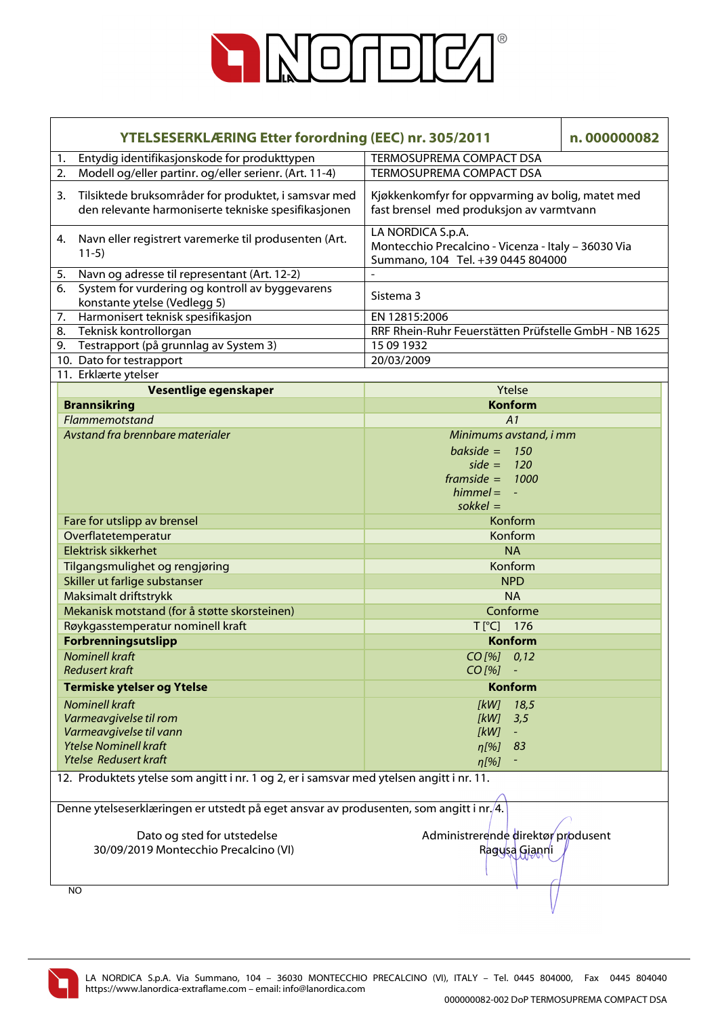

| <b>YTELSESERKLÆRING Etter forordning (EEC) nr. 305/2011</b>                                                       |                                                                                                               | n.000000082 |  |
|-------------------------------------------------------------------------------------------------------------------|---------------------------------------------------------------------------------------------------------------|-------------|--|
| Entydig identifikasjonskode for produkttypen<br>1.                                                                | TERMOSUPREMA COMPACT DSA                                                                                      |             |  |
| Modell og/eller partinr. og/eller serienr. (Art. 11-4)<br>2.                                                      | TERMOSUPREMA COMPACT DSA                                                                                      |             |  |
| Tilsiktede bruksområder for produktet, i samsvar med<br>3.<br>den relevante harmoniserte tekniske spesifikasjonen | Kjøkkenkomfyr for oppvarming av bolig, matet med<br>fast brensel med produksjon av varmtvann                  |             |  |
| Navn eller registrert varemerke til produsenten (Art.<br>4.<br>$11-5)$                                            | LA NORDICA S.p.A.<br>Montecchio Precalcino - Vicenza - Italy - 36030 Via<br>Summano, 104 Tel. +39 0445 804000 |             |  |
| Navn og adresse til representant (Art. 12-2)<br>5.                                                                |                                                                                                               |             |  |
| System for vurdering og kontroll av byggevarens<br>6.<br>konstante ytelse (Vedlegg 5)                             | Sistema 3                                                                                                     |             |  |
| Harmonisert teknisk spesifikasjon<br>7.                                                                           | EN 12815:2006                                                                                                 |             |  |
| Teknisk kontrollorgan<br>8.                                                                                       | RRF Rhein-Ruhr Feuerstätten Prüfstelle GmbH - NB 1625                                                         |             |  |
| 9. Testrapport (på grunnlag av System 3)                                                                          | 15 09 1932                                                                                                    |             |  |
| 10. Dato for testrapport                                                                                          | 20/03/2009                                                                                                    |             |  |
| 11. Erklærte ytelser                                                                                              |                                                                                                               |             |  |
| Vesentlige egenskaper                                                                                             | Ytelse                                                                                                        |             |  |
| <b>Brannsikring</b>                                                                                               | <b>Konform</b>                                                                                                |             |  |
| Flammemotstand                                                                                                    | A1                                                                                                            |             |  |
| Avstand fra brennbare materialer                                                                                  | Minimums avstand, i mm                                                                                        |             |  |
|                                                                                                                   | bakside = $150$                                                                                               |             |  |
|                                                                                                                   | side = $120$                                                                                                  |             |  |
|                                                                                                                   | framside = $1000$                                                                                             |             |  |
|                                                                                                                   | $himmel = -$                                                                                                  |             |  |
|                                                                                                                   | $s$ okkel =                                                                                                   |             |  |
| Fare for utslipp av brensel                                                                                       | Konform                                                                                                       |             |  |
| Overflatetemperatur                                                                                               | Konform                                                                                                       |             |  |
| <b>Elektrisk sikkerhet</b>                                                                                        | <b>NA</b>                                                                                                     |             |  |
| Tilgangsmulighet og rengjøring                                                                                    | Konform                                                                                                       |             |  |
| Skiller ut farlige substanser                                                                                     | <b>NPD</b>                                                                                                    |             |  |
| Maksimalt driftstrykk                                                                                             | <b>NA</b>                                                                                                     |             |  |
| Mekanisk motstand (for å støtte skorsteinen)                                                                      | Conforme                                                                                                      |             |  |
| Røykgasstemperatur nominell kraft                                                                                 | T[°C] 176                                                                                                     |             |  |
| Forbrenningsutslipp                                                                                               | <b>Konform</b>                                                                                                |             |  |
| <b>Nominell kraft</b>                                                                                             | $CO$ [%] $0,12$                                                                                               |             |  |
| <b>Redusert kraft</b>                                                                                             | CO [%]                                                                                                        |             |  |
| <b>Termiske ytelser og Ytelse</b>                                                                                 | Konform                                                                                                       |             |  |
| <b>Nominell kraft</b>                                                                                             | <b>IkW1</b><br>18,5                                                                                           |             |  |
| Varmeavgivelse til rom                                                                                            | [kW]<br>3,5                                                                                                   |             |  |
| Varmeavgivelse til vann                                                                                           | [kW]<br>$\equiv$                                                                                              |             |  |
| <b>Ytelse Nominell kraft</b>                                                                                      | 83<br>$\eta$ [%]                                                                                              |             |  |
| <b>Ytelse Redusert kraft</b>                                                                                      | $\eta$ [%]                                                                                                    |             |  |
| 12. Produktets ytelse som angitt i nr. 1 og 2, er i samsvar med ytelsen angitt i nr. 11.                          |                                                                                                               |             |  |
| Denne ytelseserklæringen er utstedt på eget ansvar av produsenten, som angitt i nr./4.                            |                                                                                                               |             |  |
|                                                                                                                   |                                                                                                               |             |  |
| Administrerende direktør produsent<br>Dato og sted for utstedelse                                                 |                                                                                                               |             |  |
| 30/09/2019 Montecchio Precalcino (VI)                                                                             | Ragusa Gianni                                                                                                 |             |  |
|                                                                                                                   |                                                                                                               |             |  |
| <b>NO</b>                                                                                                         |                                                                                                               |             |  |

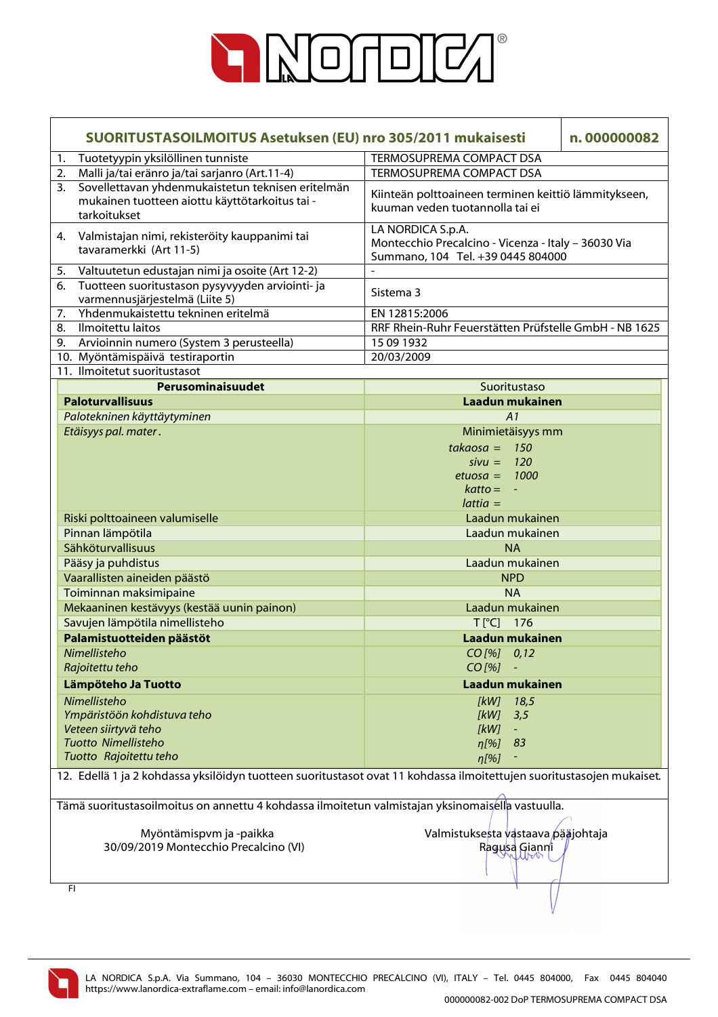

| SUORITUSTASOILMOITUS Asetuksen (EU) nro 305/2011 mukaisesti                                                               | n.000000082                                                                                                   |  |  |
|---------------------------------------------------------------------------------------------------------------------------|---------------------------------------------------------------------------------------------------------------|--|--|
| Tuotetyypin yksilöllinen tunniste<br>1.                                                                                   | TERMOSUPREMA COMPACT DSA                                                                                      |  |  |
| Malli ja/tai eränro ja/tai sarjanro (Art.11-4)<br>2.                                                                      | TERMOSUPREMA COMPACT DSA                                                                                      |  |  |
| Sovellettavan yhdenmukaistetun teknisen eritelmän<br>3.<br>mukainen tuotteen aiottu käyttötarkoitus tai -<br>tarkoitukset | Kiinteän polttoaineen terminen keittiö lämmitykseen,<br>kuuman veden tuotannolla tai ei                       |  |  |
| Valmistajan nimi, rekisteröity kauppanimi tai<br>4.<br>tavaramerkki (Art 11-5)                                            | LA NORDICA S.p.A.<br>Montecchio Precalcino - Vicenza - Italy - 36030 Via<br>Summano, 104 Tel. +39 0445 804000 |  |  |
| Valtuutetun edustajan nimi ja osoite (Art 12-2)<br>5.                                                                     |                                                                                                               |  |  |
| Tuotteen suoritustason pysyvyyden arviointi- ja<br>6.<br>varmennusjärjestelmä (Liite 5)                                   | Sistema 3                                                                                                     |  |  |
| Yhdenmukaistettu tekninen eritelmä<br>7.                                                                                  | EN 12815:2006                                                                                                 |  |  |
| Ilmoitettu laitos<br>8.                                                                                                   | RRF Rhein-Ruhr Feuerstätten Prüfstelle GmbH - NB 1625                                                         |  |  |
| Arvioinnin numero (System 3 perusteella)<br>9.                                                                            | 15 09 1932                                                                                                    |  |  |
| 10. Myöntämispäivä testiraportin                                                                                          | 20/03/2009                                                                                                    |  |  |
| 11. Ilmoitetut suoritustasot                                                                                              |                                                                                                               |  |  |
| Perusominaisuudet                                                                                                         | Suoritustaso                                                                                                  |  |  |
| <b>Paloturvallisuus</b>                                                                                                   | Laadun mukainen                                                                                               |  |  |
| Palotekninen käyttäytyminen                                                                                               | A1                                                                                                            |  |  |
| Etäisyys pal. mater.                                                                                                      | Minimietäisyys mm                                                                                             |  |  |
|                                                                                                                           | $takaosa = 150$                                                                                               |  |  |
|                                                                                                                           | $sivu = 120$                                                                                                  |  |  |
|                                                                                                                           | etuosa = $1000$                                                                                               |  |  |
|                                                                                                                           | $k$ atto = $-$                                                                                                |  |  |
|                                                                                                                           | $lattice =$                                                                                                   |  |  |
|                                                                                                                           | Laadun mukainen                                                                                               |  |  |
| Riski polttoaineen valumiselle                                                                                            |                                                                                                               |  |  |
| Pinnan lämpötila                                                                                                          | Laadun mukainen                                                                                               |  |  |
| Sähköturvallisuus                                                                                                         | <b>NA</b>                                                                                                     |  |  |
| Pääsy ja puhdistus                                                                                                        | Laadun mukainen                                                                                               |  |  |
| Vaarallisten aineiden päästö                                                                                              | <b>NPD</b>                                                                                                    |  |  |
| Toiminnan maksimipaine                                                                                                    | <b>NA</b>                                                                                                     |  |  |
| Mekaaninen kestävyys (kestää uunin painon)                                                                                | Laadun mukainen                                                                                               |  |  |
| Savujen lämpötila nimellisteho                                                                                            | T[°C] 176                                                                                                     |  |  |
| Palamistuotteiden päästöt                                                                                                 | Laadun mukainen                                                                                               |  |  |
| Nimellisteho                                                                                                              | $CO$ [%] $0,12$                                                                                               |  |  |
| Rajoitettu teho                                                                                                           | CO [%]                                                                                                        |  |  |
| Lämpöteho Ja Tuotto                                                                                                       | Laadun mukainen                                                                                               |  |  |
| Nimellisteho                                                                                                              | [kW]<br>18,5                                                                                                  |  |  |
| Ympäristöön kohdistuva teho                                                                                               | [kW]<br>3,5                                                                                                   |  |  |
| Veteen siirtyvä teho                                                                                                      | [kW]<br>$\equiv$                                                                                              |  |  |
| <b>Tuotto Nimellisteho</b>                                                                                                | $n[\%]$<br>83                                                                                                 |  |  |
| Tuotto Rajoitettu teho                                                                                                    | $\eta$ [%]                                                                                                    |  |  |
|                                                                                                                           |                                                                                                               |  |  |
| 12. Edellä 1 ja 2 kohdassa yksilöidyn tuotteen suoritustasot ovat 11 kohdassa ilmoitettujen suoritustasojen mukaiset.     |                                                                                                               |  |  |
| Tämä suoritustasoilmoitus on annettu 4 kohdassa ilmoitetun valmistajan yksinomaisella vastuulla.                          |                                                                                                               |  |  |
| Myöntämispvm ja -paikka<br>30/09/2019 Montecchio Precalcino (VI)                                                          | Valmistuksesta vastaava pääjohtaja<br>Ragusa Gianni                                                           |  |  |
| FI.                                                                                                                       |                                                                                                               |  |  |
|                                                                                                                           |                                                                                                               |  |  |

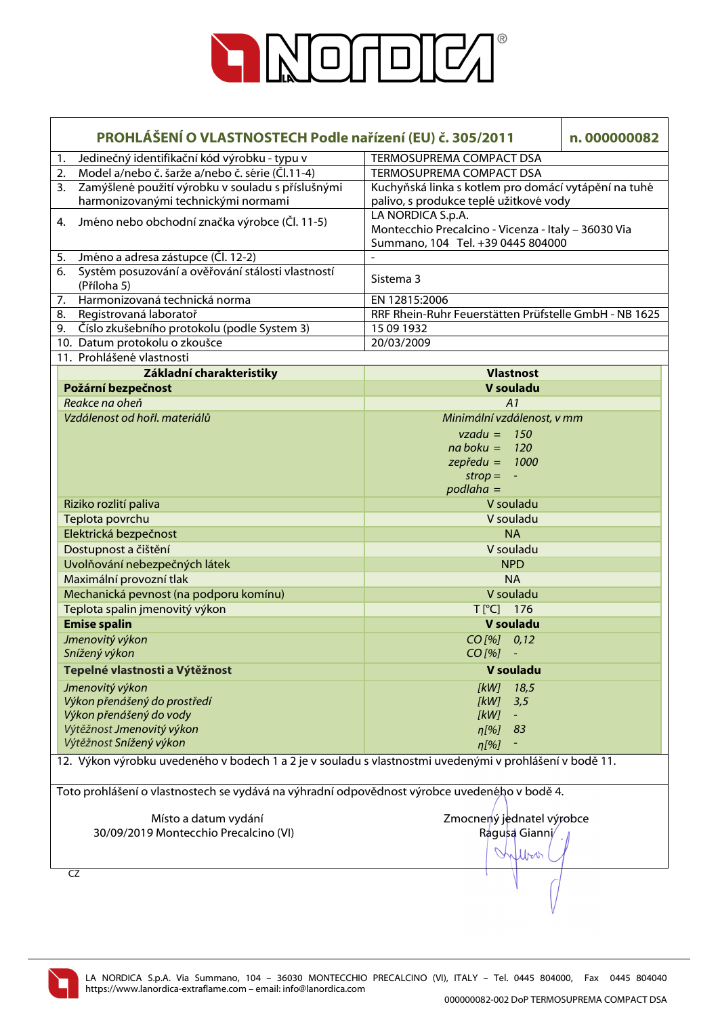

| PROHLÁŠENÍ O VLASTNOSTECH Podle nařízení (EU) č. 305/2011                                               |                                                                                                | n.000000082 |
|---------------------------------------------------------------------------------------------------------|------------------------------------------------------------------------------------------------|-------------|
| Jedinečný identifikační kód výrobku - typu v<br>1.                                                      | <b>TERMOSUPREMA COMPACT DSA</b>                                                                |             |
| Model a/nebo č. šarže a/nebo č. série (Čl.11-4)<br>2.                                                   | <b>TERMOSUPREMA COMPACT DSA</b>                                                                |             |
| Zamýšlené použití výrobku v souladu s příslušnými<br>3.<br>harmonizovanými technickými normami          | Kuchyňská linka s kotlem pro domácí vytápění na tuhé<br>palivo, s produkce teplé užitkové vody |             |
| Jméno nebo obchodní značka výrobce (Čl. 11-5)<br>4.                                                     | LA NORDICA S.p.A.                                                                              |             |
|                                                                                                         | Montecchio Precalcino - Vicenza - Italy - 36030 Via<br>Summano, 104 Tel. +39 0445 804000       |             |
| Jméno a adresa zástupce (Čl. 12-2)<br>5.                                                                |                                                                                                |             |
| Systém posuzování a ověřování stálosti vlastností<br>6.<br>(Příloha 5)                                  | Sistema 3                                                                                      |             |
| Harmonizovaná technická norma<br>7.                                                                     | EN 12815:2006                                                                                  |             |
| Registrovaná laboratoř<br>8.                                                                            | RRF Rhein-Ruhr Feuerstätten Prüfstelle GmbH - NB 1625                                          |             |
| Číslo zkušebního protokolu (podle System 3)<br>9.                                                       | 15 09 1932                                                                                     |             |
| 10. Datum protokolu o zkoušce                                                                           | 20/03/2009                                                                                     |             |
| 11. Prohlášené vlastnosti                                                                               |                                                                                                |             |
| Základní charakteristiky                                                                                | <b>Vlastnost</b>                                                                               |             |
| Požární bezpečnost                                                                                      | V souladu                                                                                      |             |
| Reakce na oheň                                                                                          | A1                                                                                             |             |
| Vzdálenost od hořl. materiálů                                                                           | Minimální vzdálenost, v mm                                                                     |             |
|                                                                                                         | $vzadu = 150$                                                                                  |             |
|                                                                                                         | $na boku = 120$                                                                                |             |
|                                                                                                         | $z$ epředu = 1000                                                                              |             |
|                                                                                                         | $\mathsf{strop} = -$                                                                           |             |
|                                                                                                         | $podlaha =$                                                                                    |             |
| Riziko rozlití paliva                                                                                   | V souladu                                                                                      |             |
| Teplota povrchu                                                                                         | V souladu                                                                                      |             |
| Elektrická bezpečnost                                                                                   | <b>NA</b>                                                                                      |             |
| Dostupnost a čištění                                                                                    | V souladu                                                                                      |             |
| Uvolňování nebezpečných látek                                                                           | <b>NPD</b>                                                                                     |             |
| Maximální provozní tlak                                                                                 | <b>NA</b>                                                                                      |             |
| Mechanická pevnost (na podporu komínu)                                                                  | V souladu                                                                                      |             |
| Teplota spalin jmenovitý výkon                                                                          | T[°C] 176                                                                                      |             |
| <b>Emise spalin</b>                                                                                     | V souladu                                                                                      |             |
| Jmenovitý výkon                                                                                         | $CO$ [%] $0,12$                                                                                |             |
| Snížený výkon                                                                                           | $CO [%] -$                                                                                     |             |
| Tepelné vlastnosti a Výtěžnost                                                                          | V souladu                                                                                      |             |
| Jmenovitý výkon                                                                                         | 18,5<br>[kW]                                                                                   |             |
| Výkon přenášený do prostředí                                                                            | [kW]<br>3,5                                                                                    |             |
| Výkon přenášený do vody                                                                                 | [kW]                                                                                           |             |
| Výtěžnost Jmenovitý výkon                                                                               | 83<br>$\eta$ [%]                                                                               |             |
| Výtěžnost Snížený výkon                                                                                 | $\eta$ [%]                                                                                     |             |
| 12. Výkon výrobku uvedeného v bodech 1 a 2 je v souladu s vlastnostmi uvedenými v prohlášení v bodě 11. |                                                                                                |             |
| Toto prohlášení o vlastnostech se vydává na výhradní odpovědnost výrobce uvedeného v bodě 4.            |                                                                                                |             |
|                                                                                                         |                                                                                                |             |
| Místo a datum vydání                                                                                    | Zmocnený jednatel výrobce                                                                      |             |
| 30/09/2019 Montecchio Precalcino (VI)                                                                   | Ragusa Gianni/                                                                                 |             |
|                                                                                                         |                                                                                                |             |
|                                                                                                         | Wor                                                                                            |             |
| CZ                                                                                                      |                                                                                                |             |

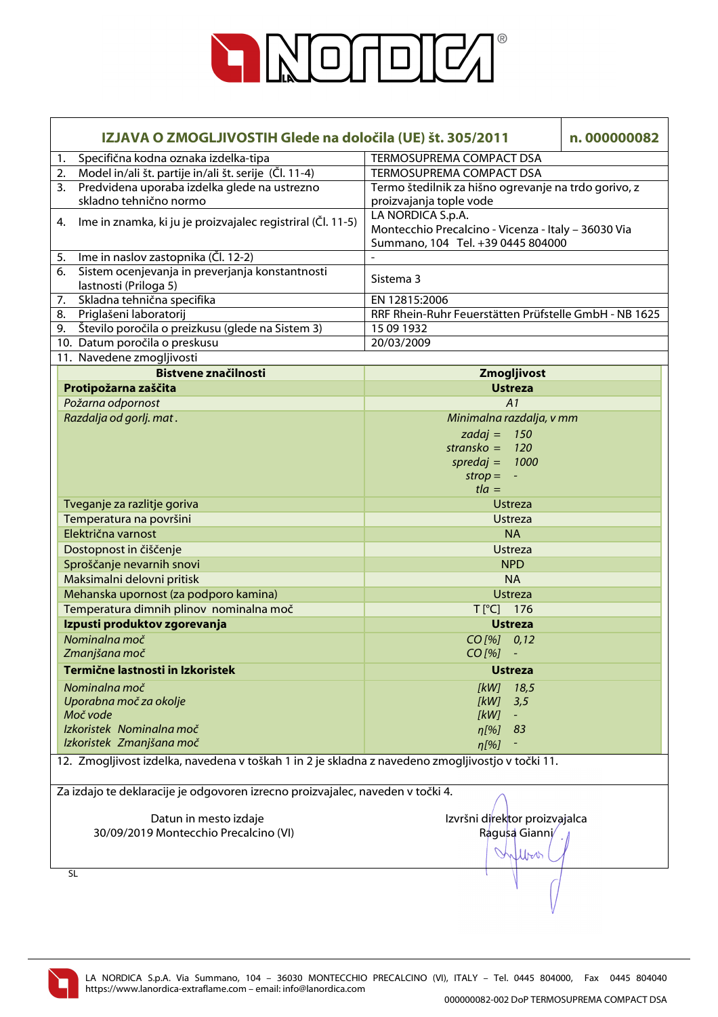

| IZJAVA O ZMOGLJIVOSTIH Glede na določila (UE) št. 305/2011                                        |                                                       | n.000000082 |
|---------------------------------------------------------------------------------------------------|-------------------------------------------------------|-------------|
| Specifična kodna oznaka izdelka-tipa<br>1.                                                        | TERMOSUPREMA COMPACT DSA                              |             |
| 2. Model in/ali št. partije in/ali št. serije (Čl. 11-4)                                          | TERMOSUPREMA COMPACT DSA                              |             |
| Predvidena uporaba izdelka glede na ustrezno<br>3.                                                | Termo štedilnik za hišno ogrevanje na trdo gorivo, z  |             |
| skladno tehnično normo                                                                            | proizvajanja tople vode                               |             |
| Ime in znamka, ki ju je proizvajalec registriral (Čl. 11-5)<br>4.                                 | LA NORDICA S.p.A.                                     |             |
|                                                                                                   | Montecchio Precalcino - Vicenza - Italy - 36030 Via   |             |
|                                                                                                   | Summano, 104 Tel. +39 0445 804000                     |             |
| Ime in naslov zastopnika (Čl. 12-2)<br>5.                                                         |                                                       |             |
| Sistem ocenjevanja in preverjanja konstantnosti<br>6.                                             | Sistema 3                                             |             |
| lastnosti (Priloga 5)                                                                             |                                                       |             |
| Skladna tehnična specifika<br>7.                                                                  | EN 12815:2006                                         |             |
| Priglašeni laboratorij<br>8.                                                                      | RRF Rhein-Ruhr Feuerstätten Prüfstelle GmbH - NB 1625 |             |
| 9. Število poročila o preizkusu (glede na Sistem 3)                                               | 15 09 1932<br>20/03/2009                              |             |
| 10. Datum poročila o preskusu                                                                     |                                                       |             |
| 11. Navedene zmogljivosti<br><b>Bistvene značilnosti</b>                                          |                                                       |             |
|                                                                                                   | Zmogljivost                                           |             |
| Protipožarna zaščita                                                                              | <b>Ustreza</b>                                        |             |
| Požarna odpornost<br>Razdalja od gorlj. mat.                                                      | A1                                                    |             |
|                                                                                                   | Minimalna razdalja, v mm                              |             |
|                                                                                                   | zadaj = $150$                                         |             |
|                                                                                                   | stransko = $120$                                      |             |
|                                                                                                   | spredaj = $1000$                                      |             |
|                                                                                                   | $strop = -$<br>$t/a =$                                |             |
|                                                                                                   | <b>Ustreza</b>                                        |             |
| Tveganje za razlitje goriva<br>Temperatura na površini                                            | <b>Ustreza</b>                                        |             |
| Električna varnost                                                                                | <b>NA</b>                                             |             |
|                                                                                                   | <b>Ustreza</b>                                        |             |
| Dostopnost in čiščenje                                                                            | <b>NPD</b>                                            |             |
| Sproščanje nevarnih snovi                                                                         |                                                       |             |
| Maksimalni delovni pritisk                                                                        | <b>NA</b>                                             |             |
| Mehanska upornost (za podporo kamina)                                                             | <b>Ustreza</b>                                        |             |
| Temperatura dimnih plinov nominalna moč                                                           | T[°C] 176                                             |             |
| Izpusti produktov zgorevanja                                                                      | <b>Ustreza</b>                                        |             |
| Nominalna moč                                                                                     | CO [%] 0,12                                           |             |
| Zmanjšana moč                                                                                     | $CO$ [%]<br>$\sim$ $-$                                |             |
| Termične lastnosti in Izkoristek                                                                  | <b>Ustreza</b>                                        |             |
| Nominalna moč                                                                                     | 18,5<br><i><b>IkWI</b></i>                            |             |
| Uporabna moč za okolje                                                                            | [kW]<br>3,5                                           |             |
| Moč vode                                                                                          | [kW]                                                  |             |
| Izkoristek Nominalna moč                                                                          | 83<br>n[%]                                            |             |
| Izkoristek Zmanjšana moč                                                                          | $\eta$ [%]                                            |             |
| 12. Zmogljivost izdelka, navedena v toškah 1 in 2 je skladna z navedeno zmogljivostjo v točki 11. |                                                       |             |
| Za izdajo te deklaracije je odgovoren izrecno proizvajalec, naveden v točki 4.                    |                                                       |             |
|                                                                                                   |                                                       |             |
| Datun in mesto izdaje                                                                             | Izvršni direktor proizvajalca                         |             |
| 30/09/2019 Montecchio Precalcino (VI)                                                             | Ragusa Gianni/                                        |             |
|                                                                                                   | tboo                                                  |             |
|                                                                                                   |                                                       |             |
| <b>SL</b>                                                                                         |                                                       |             |

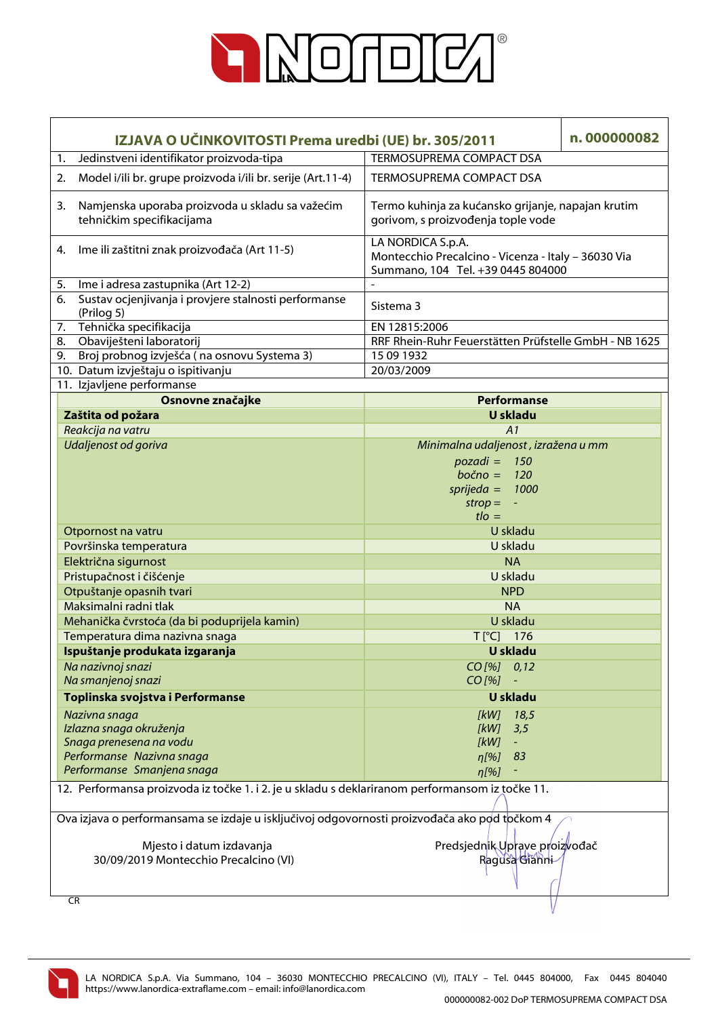

| IZJAVA O UČINKOVITOSTI Prema uredbi (UE) br. 305/2011                                                               |                                                                              | n.000000082                                                                                                   |  |  |
|---------------------------------------------------------------------------------------------------------------------|------------------------------------------------------------------------------|---------------------------------------------------------------------------------------------------------------|--|--|
| 1.                                                                                                                  | Jedinstveni identifikator proizvoda-tipa                                     | TERMOSUPREMA COMPACT DSA                                                                                      |  |  |
| 2.                                                                                                                  | Model i/ili br. grupe proizvoda i/ili br. serije (Art.11-4)                  | TERMOSUPREMA COMPACT DSA                                                                                      |  |  |
| 3.                                                                                                                  | Namjenska uporaba proizvoda u skladu sa važećim<br>tehničkim specifikacijama | Termo kuhinja za kućansko grijanje, napajan krutim<br>gorivom, s proizvođenja tople vode                      |  |  |
| 4.                                                                                                                  | Ime ili zaštitni znak proizvođača (Art 11-5)                                 | LA NORDICA S.p.A.<br>Montecchio Precalcino - Vicenza - Italy - 36030 Via<br>Summano, 104 Tel. +39 0445 804000 |  |  |
| 5.                                                                                                                  | Ime i adresa zastupnika (Art 12-2)                                           |                                                                                                               |  |  |
| 6.                                                                                                                  | Sustav ocjenjivanja i provjere stalnosti performanse<br>(Prilog 5)           | Sistema 3                                                                                                     |  |  |
| 7.                                                                                                                  | Tehnička specifikacija                                                       | EN 12815:2006                                                                                                 |  |  |
| 8.                                                                                                                  | Obaviješteni laboratorij                                                     | RRF Rhein-Ruhr Feuerstätten Prüfstelle GmbH - NB 1625                                                         |  |  |
| 9.                                                                                                                  | Broj probnog izvješća (na osnovu Systema 3)                                  | 15 09 1932                                                                                                    |  |  |
|                                                                                                                     | 10. Datum izvještaju o ispitivanju                                           | 20/03/2009                                                                                                    |  |  |
|                                                                                                                     | 11. Izjavljene performanse                                                   |                                                                                                               |  |  |
|                                                                                                                     | Osnovne značajke                                                             | <b>Performanse</b>                                                                                            |  |  |
|                                                                                                                     | Zaštita od požara                                                            | <b>U</b> skladu                                                                                               |  |  |
|                                                                                                                     | Reakcija na vatru                                                            | A1                                                                                                            |  |  |
|                                                                                                                     | Udaljenost od goriva                                                         | Minimalna udaljenost, izražena u mm                                                                           |  |  |
|                                                                                                                     |                                                                              | $pozadi = 150$                                                                                                |  |  |
|                                                                                                                     |                                                                              | $bočno =$<br><b>120</b>                                                                                       |  |  |
|                                                                                                                     |                                                                              | $sprijeda =$<br>1000                                                                                          |  |  |
|                                                                                                                     |                                                                              | $strop =$<br>$\blacksquare$                                                                                   |  |  |
|                                                                                                                     |                                                                              | $t \cdot l$                                                                                                   |  |  |
|                                                                                                                     | Otpornost na vatru                                                           | U skladu                                                                                                      |  |  |
|                                                                                                                     | Površinska temperatura                                                       | U skladu                                                                                                      |  |  |
|                                                                                                                     | Električna sigurnost                                                         | <b>NA</b>                                                                                                     |  |  |
|                                                                                                                     | Pristupačnost i čišćenje                                                     | U skladu                                                                                                      |  |  |
|                                                                                                                     | Otpuštanje opasnih tvari                                                     | <b>NPD</b>                                                                                                    |  |  |
|                                                                                                                     | Maksimalni radni tlak                                                        | <b>NA</b>                                                                                                     |  |  |
|                                                                                                                     | Mehanička čvrstoća (da bi poduprijela kamin)                                 | U skladu                                                                                                      |  |  |
|                                                                                                                     | Temperatura dima nazivna snaga                                               | T[°C] 176                                                                                                     |  |  |
|                                                                                                                     | Ispuštanje produkata izgaranja                                               | U skladu                                                                                                      |  |  |
|                                                                                                                     | Na nazivnoj snazi<br>Na smanjenoj snazi                                      | $CO$ [%]<br>0,12<br>CO [%]                                                                                    |  |  |
|                                                                                                                     | Toplinska svojstva i Performanse                                             | <b>U</b> skladu                                                                                               |  |  |
|                                                                                                                     | Nazivna snaga                                                                | 18,5<br>[kW]                                                                                                  |  |  |
|                                                                                                                     | Izlazna snaga okruženja                                                      | 3,5<br>[kW]                                                                                                   |  |  |
|                                                                                                                     | Snaga prenesena na vodu                                                      | [kW]<br>$\equiv$                                                                                              |  |  |
|                                                                                                                     | Performanse Nazivna snaga                                                    | η[%]<br>83                                                                                                    |  |  |
|                                                                                                                     | Performanse Smanjena snaga                                                   | $\eta$ [%]                                                                                                    |  |  |
| 12. Performansa proizvoda iz točke 1. i 2. je u skladu s deklariranom performansom iz točke 11.                     |                                                                              |                                                                                                               |  |  |
| Ova izjava o performansama se izdaje u isključivoj odgovornosti proizvođača ako pod točkom 4                        |                                                                              |                                                                                                               |  |  |
| Mjesto i datum izdavanja<br>Predsjednik Uprave proizvođač<br>30/09/2019 Montecchio Precalcino (VI)<br>Ragusa Gianni |                                                                              |                                                                                                               |  |  |
|                                                                                                                     | CR                                                                           |                                                                                                               |  |  |

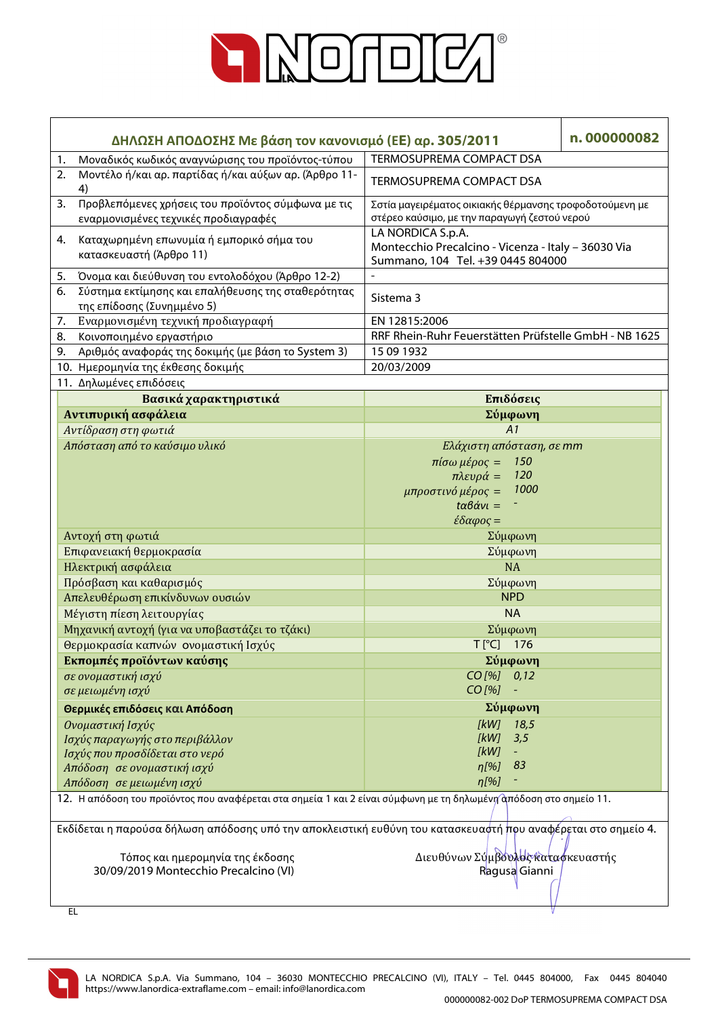

| ΔΗΛΩΣΗ ΑΠΟΔΟΣΗΣ Με βάση τον κανονισμό (ΕΕ) αρ. 305/2011                                                           | n.000000082                                                                                                                                                                       |  |  |  |
|-------------------------------------------------------------------------------------------------------------------|-----------------------------------------------------------------------------------------------------------------------------------------------------------------------------------|--|--|--|
| Μοναδικός κωδικός αναγνώρισης του προϊόντος-τύπου<br>1.                                                           | TERMOSUPREMA COMPACT DSA                                                                                                                                                          |  |  |  |
| Μοντέλο ή/και αρ. παρτίδας ή/και αύξων αρ. (Άρθρο 11-<br>2.<br>4)                                                 | TERMOSUPREMA COMPACT DSA                                                                                                                                                          |  |  |  |
| Προβλεπόμενες χρήσεις του προϊόντος σύμφωνα με τις<br>3.<br>εναρμονισμένες τεχνικές προδιαγραφές                  | Σστία μαγειρέματος οικιακής θέρμανσης τροφοδοτούμενη με<br>στέρεο καύσιμο, με την παραγωγή ζεστού νερού                                                                           |  |  |  |
| Καταχωρημένη επωνυμία ή εμπορικό σήμα του<br>4.<br>κατασκευαστή (Άρθρο 11)                                        | LA NORDICA S.p.A.<br>Montecchio Precalcino - Vicenza - Italy - 36030 Via<br>Summano, 104 Tel. +39 0445 804000                                                                     |  |  |  |
| Όνομα και διεύθυνση του εντολοδόχου (Άρθρο 12-2)<br>5.                                                            |                                                                                                                                                                                   |  |  |  |
| Σύστημα εκτίμησης και επαλήθευσης της σταθερότητας<br>6.<br>της επίδοσης (Συνημμένο 5)                            | Sistema 3                                                                                                                                                                         |  |  |  |
| Εναρμονισμένη τεχνική προδιαγραφή<br>7.                                                                           | EN 12815:2006                                                                                                                                                                     |  |  |  |
| Κοινοποιημένο εργαστήριο<br>8.                                                                                    | RRF Rhein-Ruhr Feuerstätten Prüfstelle GmbH - NB 1625                                                                                                                             |  |  |  |
| Αριθμός αναφοράς της δοκιμής (με βάση το System 3)<br>9.                                                          | 15 09 1932                                                                                                                                                                        |  |  |  |
| 10. Ημερομηνία της έκθεσης δοκιμής                                                                                | 20/03/2009                                                                                                                                                                        |  |  |  |
| 11. Δηλωμένες επιδόσεις                                                                                           |                                                                                                                                                                                   |  |  |  |
| Βασικά χαρακτηριστικά                                                                                             | Επιδόσεις                                                                                                                                                                         |  |  |  |
| Αντιπυρική ασφάλεια                                                                                               | Σύμφωνη                                                                                                                                                                           |  |  |  |
| Αντίδραση στη φωτιά                                                                                               | A1                                                                                                                                                                                |  |  |  |
| Απόσταση από το καύσιμο υλικό                                                                                     | Ελάχιστη απόσταση, σε mm<br>$πiσω μέρος =$<br>150<br>120<br>$πλευρά =$<br>1000<br>μπροστινό μέρος =<br>$t\alpha\beta\dot{\alpha}v\iota=$<br>$\epsilon \delta \alpha \varphi$ ος = |  |  |  |
| Αντοχή στη φωτιά                                                                                                  | Σύμφωνη                                                                                                                                                                           |  |  |  |
| Επιφανειακή θερμοκρασία                                                                                           | Σύμφωνη                                                                                                                                                                           |  |  |  |
| Ηλεκτρική ασφάλεια                                                                                                | <b>NA</b>                                                                                                                                                                         |  |  |  |
| Πρόσβαση και καθαρισμός                                                                                           | Σύμφωνη                                                                                                                                                                           |  |  |  |
| Απελευθέρωση επικίνδυνων ουσιών                                                                                   | <b>NPD</b>                                                                                                                                                                        |  |  |  |
| Μέγιστη πίεση λειτουργίας                                                                                         | <b>NA</b>                                                                                                                                                                         |  |  |  |
| Μηχανική αντοχή (για να υποβαστάζει το τζάκι)                                                                     | Σύμφωνη                                                                                                                                                                           |  |  |  |
| Θερμοκρασία καπνών ονομαστική Ισχύς                                                                               | T[°C] 176                                                                                                                                                                         |  |  |  |
| Εκπομπές προϊόντων καύσης                                                                                         | Σύμφωνη                                                                                                                                                                           |  |  |  |
| σε ονομαστική ισχύ                                                                                                | $CO$ [%] $0,12$                                                                                                                                                                   |  |  |  |
| σε μειωμένη ισχύ                                                                                                  | CO [%]                                                                                                                                                                            |  |  |  |
| Θερμικές επιδόσεις και Απόδοση                                                                                    | Σύμφωνη                                                                                                                                                                           |  |  |  |
| Ονομαστική Ισχύς                                                                                                  | [kW]<br>18,5                                                                                                                                                                      |  |  |  |
| Ισχύς παραγωγής στο περιβάλλον                                                                                    | [kW]<br>3,5                                                                                                                                                                       |  |  |  |
| Ισχύς που προσδίδεται στο νερό                                                                                    | [kW]                                                                                                                                                                              |  |  |  |
| Απόδοση σε ονομαστική ισχύ                                                                                        | 83<br>n[%]                                                                                                                                                                        |  |  |  |
| Απόδοση σε μειωμένη ισχύ                                                                                          | $\eta$ [%]                                                                                                                                                                        |  |  |  |
| 12. Η απόδοση του προϊόντος που αναφέρεται στα σημεία 1 και 2 είναι σύμφωνη με τη δηλωμένη απόδοση στο σημείο 11. |                                                                                                                                                                                   |  |  |  |
| Εκδίδεται η παρούσα δήλωση απόδοσης υπό την αποκλειστική ευθύνη του κατασκευαστή πρυ αναφέρεται στο σημείο 4.     |                                                                                                                                                                                   |  |  |  |
| Τόπος και ημερομηνία της έκδοσης<br>30/09/2019 Montecchio Precalcino (VI)                                         | Διευθύνων Σύμβουλος καταφκευαστής<br>Ragusa Gianni                                                                                                                                |  |  |  |
| EL                                                                                                                |                                                                                                                                                                                   |  |  |  |

EL

LA NORDICA S.p.A. Via Summano, 104 – 36030 MONTECCHIO PRECALCINO (VI), ITALY – Tel. 0445 804000, Fax 0445 804040 https://www.lanordica-extraflame.com – email: info@lanordica.com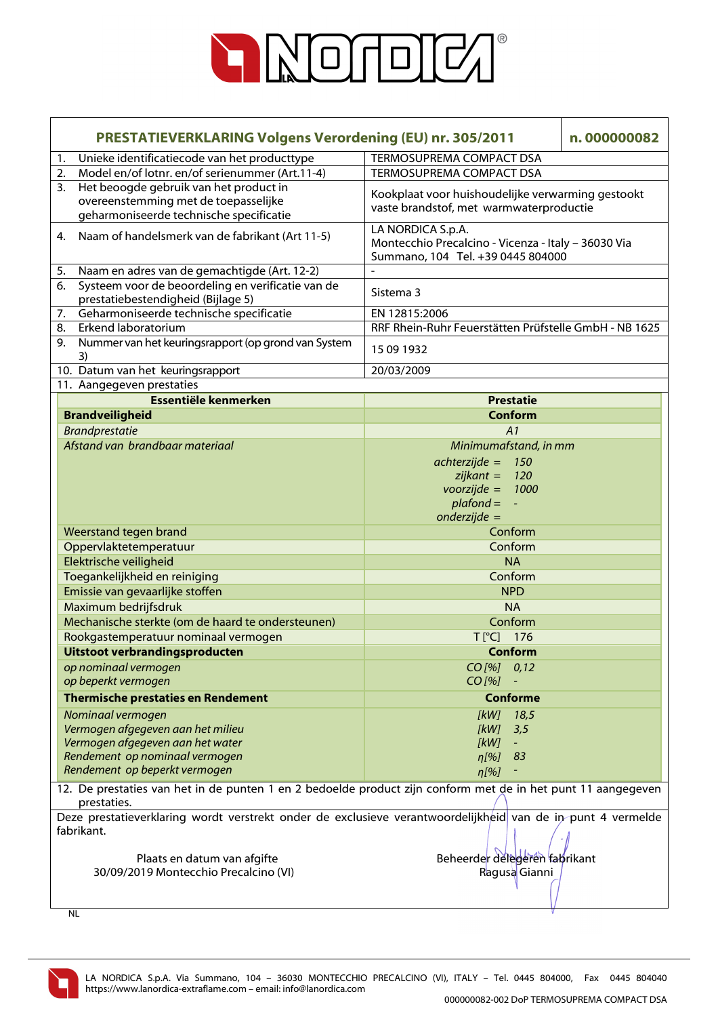

|                                                                                                                            | <b>PRESTATIEVERKLARING Volgens Verordening (EU) nr. 305/2011</b>                                                          |                                                                                                               | n.000000082 |  |  |
|----------------------------------------------------------------------------------------------------------------------------|---------------------------------------------------------------------------------------------------------------------------|---------------------------------------------------------------------------------------------------------------|-------------|--|--|
| 1.                                                                                                                         | Unieke identificatiecode van het producttype                                                                              | TERMOSUPREMA COMPACT DSA                                                                                      |             |  |  |
| 2.                                                                                                                         | Model en/of lotnr. en/of serienummer (Art.11-4)                                                                           | TERMOSUPREMA COMPACT DSA                                                                                      |             |  |  |
| 3.                                                                                                                         | Het beoogde gebruik van het product in<br>overeenstemming met de toepasselijke<br>geharmoniseerde technische specificatie | Kookplaat voor huishoudelijke verwarming gestookt<br>vaste brandstof, met warmwaterproductie                  |             |  |  |
| 4.                                                                                                                         | Naam of handelsmerk van de fabrikant (Art 11-5)                                                                           | LA NORDICA S.p.A.<br>Montecchio Precalcino - Vicenza - Italy - 36030 Via<br>Summano, 104 Tel. +39 0445 804000 |             |  |  |
| 5.                                                                                                                         | Naam en adres van de gemachtigde (Art. 12-2)                                                                              |                                                                                                               |             |  |  |
| 6.                                                                                                                         | Systeem voor de beoordeling en verificatie van de<br>prestatiebestendigheid (Bijlage 5)                                   | Sistema 3                                                                                                     |             |  |  |
| 7.                                                                                                                         | Geharmoniseerde technische specificatie                                                                                   | EN 12815:2006                                                                                                 |             |  |  |
| 8.                                                                                                                         | Erkend laboratorium                                                                                                       | RRF Rhein-Ruhr Feuerstätten Prüfstelle GmbH - NB 1625                                                         |             |  |  |
| 9.                                                                                                                         | Nummer van het keuringsrapport (op grond van System<br>3)                                                                 | 15 09 1932                                                                                                    |             |  |  |
|                                                                                                                            | 10. Datum van het keuringsrapport                                                                                         | 20/03/2009                                                                                                    |             |  |  |
|                                                                                                                            | 11. Aangegeven prestaties                                                                                                 |                                                                                                               |             |  |  |
|                                                                                                                            | Essentiële kenmerken                                                                                                      | <b>Prestatie</b>                                                                                              |             |  |  |
|                                                                                                                            | <b>Brandveiligheid</b>                                                                                                    | <b>Conform</b>                                                                                                |             |  |  |
|                                                                                                                            | <b>Brandprestatie</b>                                                                                                     | A1                                                                                                            |             |  |  |
|                                                                                                                            | Afstand van brandbaar materiaal                                                                                           | Minimumafstand, in mm                                                                                         |             |  |  |
|                                                                                                                            |                                                                                                                           | $achterzijde =$<br>150                                                                                        |             |  |  |
|                                                                                                                            |                                                                                                                           | $zijkant =$<br>120                                                                                            |             |  |  |
|                                                                                                                            |                                                                                                                           | $voorzijde =$<br>1000                                                                                         |             |  |  |
|                                                                                                                            |                                                                                                                           | $plafond =$<br>$\omega$                                                                                       |             |  |  |
|                                                                                                                            |                                                                                                                           | $onderzijde =$                                                                                                |             |  |  |
|                                                                                                                            | Weerstand tegen brand                                                                                                     | Conform                                                                                                       |             |  |  |
|                                                                                                                            | Oppervlaktetemperatuur                                                                                                    | Conform                                                                                                       |             |  |  |
|                                                                                                                            | Elektrische veiligheid                                                                                                    | <b>NA</b>                                                                                                     |             |  |  |
|                                                                                                                            | Toegankelijkheid en reiniging                                                                                             | Conform                                                                                                       |             |  |  |
|                                                                                                                            | Emissie van gevaarlijke stoffen                                                                                           | <b>NPD</b>                                                                                                    |             |  |  |
|                                                                                                                            | Maximum bedrijfsdruk                                                                                                      | <b>NA</b>                                                                                                     |             |  |  |
|                                                                                                                            | Mechanische sterkte (om de haard te ondersteunen)                                                                         | Conform                                                                                                       |             |  |  |
|                                                                                                                            | Rookgastemperatuur nominaal vermogen                                                                                      | T[°C] 176                                                                                                     |             |  |  |
|                                                                                                                            | Uitstoot verbrandingsproducten                                                                                            | Conform                                                                                                       |             |  |  |
|                                                                                                                            | op nominaal vermogen                                                                                                      | $CO$ [%] $0,12$                                                                                               |             |  |  |
|                                                                                                                            | op beperkt vermogen                                                                                                       | $CO$ [%]                                                                                                      |             |  |  |
|                                                                                                                            | <b>Thermische prestaties en Rendement</b>                                                                                 | <b>Conforme</b>                                                                                               |             |  |  |
|                                                                                                                            | Nominaal vermogen                                                                                                         | [kW]<br>18,5                                                                                                  |             |  |  |
|                                                                                                                            | Vermogen afgegeven aan het milieu                                                                                         | [kW]<br>3,5<br>[kW]<br>$\equiv$                                                                               |             |  |  |
|                                                                                                                            | Vermogen afgegeven aan het water<br>Rendement op nominaal vermogen                                                        | $\eta$ [%]<br>83                                                                                              |             |  |  |
|                                                                                                                            | Rendement op beperkt vermogen                                                                                             |                                                                                                               |             |  |  |
| $\eta$ [%]<br>12. De prestaties van het in de punten 1 en 2 bedoelde product zijn conform met de in het punt 11 aangegeven |                                                                                                                           |                                                                                                               |             |  |  |
|                                                                                                                            | prestaties.                                                                                                               |                                                                                                               |             |  |  |
| Deze prestatieverklaring wordt verstrekt onder de exclusieve verantwoordelijkheid van de in punt 4 vermelde<br>fabrikant.  |                                                                                                                           |                                                                                                               |             |  |  |
|                                                                                                                            |                                                                                                                           |                                                                                                               |             |  |  |
| Plaats en datum van afgifte                                                                                                |                                                                                                                           | Beheerder delegeren fahrikant                                                                                 |             |  |  |
|                                                                                                                            | 30/09/2019 Montecchio Precalcino (VI)                                                                                     | Ragusa Gianni                                                                                                 |             |  |  |
|                                                                                                                            |                                                                                                                           |                                                                                                               |             |  |  |
|                                                                                                                            | ΝI                                                                                                                        |                                                                                                               |             |  |  |

NL

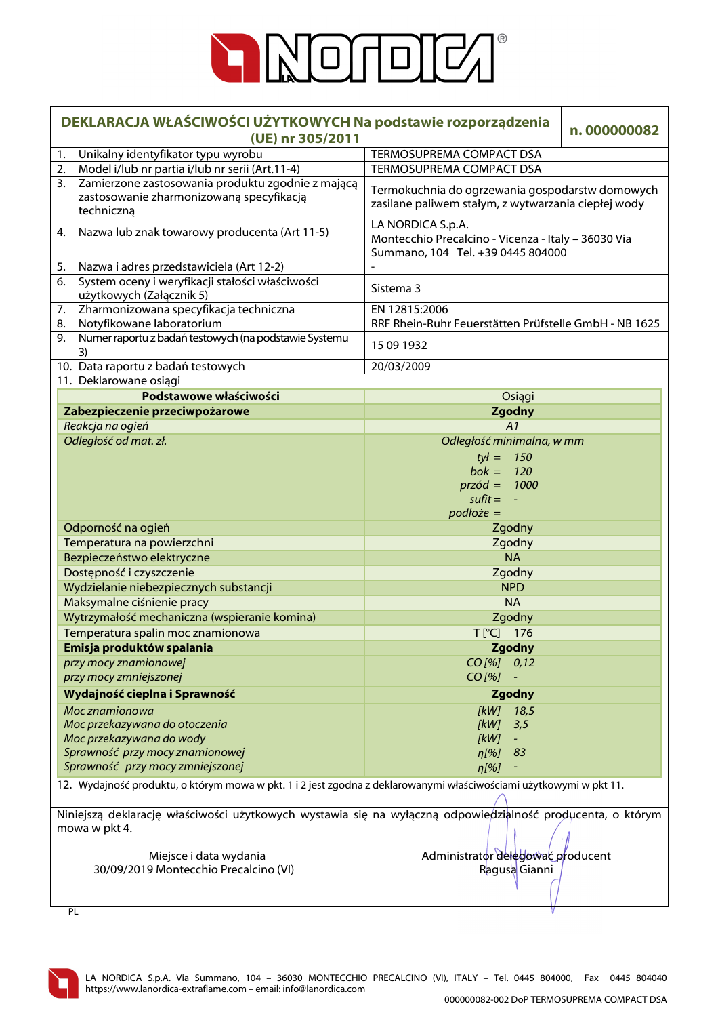

| DEKLARACJA WŁAŚCIWOŚCI UŻYTKOWYCH Na podstawie rozporządzenia<br>(UE) nr 305/2011                                                                                                                                           | n.000000082                                                                                                   |  |  |
|-----------------------------------------------------------------------------------------------------------------------------------------------------------------------------------------------------------------------------|---------------------------------------------------------------------------------------------------------------|--|--|
| Unikalny identyfikator typu wyrobu<br>1.                                                                                                                                                                                    | <b>TERMOSUPREMA COMPACT DSA</b>                                                                               |  |  |
| 2. Model i/lub nr partia i/lub nr serii (Art.11-4)                                                                                                                                                                          | TERMOSUPREMA COMPACT DSA                                                                                      |  |  |
| Zamierzone zastosowania produktu zgodnie z mającą<br>3.<br>Termokuchnia do ogrzewania gospodarstw domowych<br>zastosowanie zharmonizowaną specyfikacją<br>zasilane paliwem stałym, z wytwarzania ciepłej wody<br>techniczną |                                                                                                               |  |  |
| Nazwa lub znak towarowy producenta (Art 11-5)<br>4.                                                                                                                                                                         | LA NORDICA S.p.A.<br>Montecchio Precalcino - Vicenza - Italy - 36030 Via<br>Summano, 104 Tel. +39 0445 804000 |  |  |
| Nazwa i adres przedstawiciela (Art 12-2)<br>5.                                                                                                                                                                              | $\overline{\phantom{a}}$                                                                                      |  |  |
| System oceny i weryfikacji stałości właściwości<br>6.<br>użytkowych (Załącznik 5)                                                                                                                                           | Sistema 3                                                                                                     |  |  |
| Zharmonizowana specyfikacja techniczna<br>7.                                                                                                                                                                                | EN 12815:2006                                                                                                 |  |  |
| Notyfikowane laboratorium<br>8.                                                                                                                                                                                             | RRF Rhein-Ruhr Feuerstätten Prüfstelle GmbH - NB 1625                                                         |  |  |
| Numer raportu z badań testowych (na podstawie Systemu<br>9.<br>3)                                                                                                                                                           | 15 09 1932                                                                                                    |  |  |
| 10. Data raportu z badań testowych                                                                                                                                                                                          | 20/03/2009                                                                                                    |  |  |
| 11. Deklarowane osiągi                                                                                                                                                                                                      |                                                                                                               |  |  |
| Podstawowe właściwości                                                                                                                                                                                                      | Osiągi                                                                                                        |  |  |
| Zabezpieczenie przeciwpożarowe                                                                                                                                                                                              | <b>Zgodny</b>                                                                                                 |  |  |
| Reakcja na ogień                                                                                                                                                                                                            | A1                                                                                                            |  |  |
| Odległość od mat. zł.                                                                                                                                                                                                       | Odległość minimalna, w mm                                                                                     |  |  |
|                                                                                                                                                                                                                             | $tyf =$<br>150                                                                                                |  |  |
|                                                                                                                                                                                                                             | $b$ ok =<br>120                                                                                               |  |  |
|                                                                                                                                                                                                                             | $przód = 1000$                                                                                                |  |  |
|                                                                                                                                                                                                                             | $s$ ufit =                                                                                                    |  |  |
|                                                                                                                                                                                                                             | $podto\, =$                                                                                                   |  |  |
| Odporność na ogień                                                                                                                                                                                                          | Zgodny                                                                                                        |  |  |
| Temperatura na powierzchni                                                                                                                                                                                                  | Zgodny                                                                                                        |  |  |
| Bezpieczeństwo elektryczne                                                                                                                                                                                                  | <b>NA</b>                                                                                                     |  |  |
| Dostępność i czyszczenie                                                                                                                                                                                                    | Zgodny                                                                                                        |  |  |
| Wydzielanie niebezpiecznych substancji                                                                                                                                                                                      | <b>NPD</b>                                                                                                    |  |  |
| Maksymalne ciśnienie pracy                                                                                                                                                                                                  | <b>NA</b>                                                                                                     |  |  |
| Wytrzymałość mechaniczna (wspieranie komina)                                                                                                                                                                                | Zgodny                                                                                                        |  |  |
| Temperatura spalin moc znamionowa                                                                                                                                                                                           | T[°C] 176                                                                                                     |  |  |
| Emisja produktów spalania                                                                                                                                                                                                   | <b>Zgodny</b>                                                                                                 |  |  |
| przy mocy znamionowej                                                                                                                                                                                                       | $CO$ [%] $0,12$                                                                                               |  |  |
| przy mocy zmniejszonej                                                                                                                                                                                                      | $CO$ [%]<br>$\overline{\phantom{a}}$                                                                          |  |  |
| Wydajność cieplna i Sprawność                                                                                                                                                                                               | <b>Zgodny</b>                                                                                                 |  |  |
| Moc znamionowa                                                                                                                                                                                                              | [kW]<br>18,5                                                                                                  |  |  |
| Moc przekazywana do otoczenia                                                                                                                                                                                               | [kW]<br>3,5                                                                                                   |  |  |
| Moc przekazywana do wody                                                                                                                                                                                                    | [kW]                                                                                                          |  |  |
| Sprawność przy mocy znamionowej                                                                                                                                                                                             | $\eta$ [%]<br>83                                                                                              |  |  |
| Sprawność przy mocy zmniejszonej                                                                                                                                                                                            | $\eta$ [%]                                                                                                    |  |  |
| 12. Wydajność produktu, o którym mowa w pkt. 1 i 2 jest zgodna z deklarowanymi właściwościami użytkowymi w pkt 11.                                                                                                          |                                                                                                               |  |  |
|                                                                                                                                                                                                                             |                                                                                                               |  |  |
|                                                                                                                                                                                                                             | Niniejszą deklarację właściwości użytkowych wystawia się na wyłączną odpowiedzialność producenta, o którym    |  |  |
| mowa w pkt 4.                                                                                                                                                                                                               |                                                                                                               |  |  |
|                                                                                                                                                                                                                             |                                                                                                               |  |  |
| Miejsce i data wydania                                                                                                                                                                                                      | Administrator delegować producent                                                                             |  |  |
| 30/09/2019 Montecchio Precalcino (VI)                                                                                                                                                                                       | Ragusa Gianni                                                                                                 |  |  |
|                                                                                                                                                                                                                             |                                                                                                               |  |  |

PL

LA NORDICA S.p.A. Via Summano, 104 – 36030 MONTECCHIO PRECALCINO (VI), ITALY – Tel. 0445 804000, Fax 0445 804040 https://www.lanordica-extraflame.com – email: info@lanordica.com

V